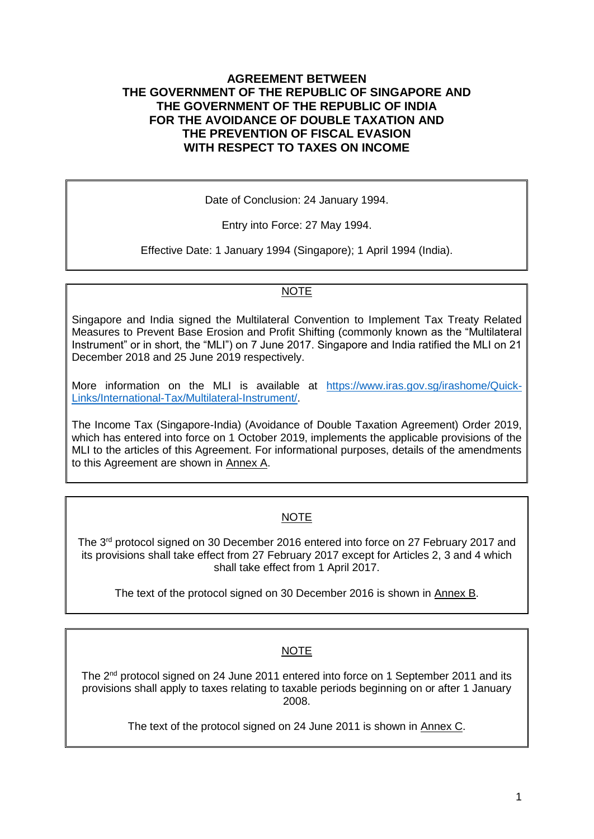#### **AGREEMENT BETWEEN THE GOVERNMENT OF THE REPUBLIC OF SINGAPORE AND THE GOVERNMENT OF THE REPUBLIC OF INDIA FOR THE AVOIDANCE OF DOUBLE TAXATION AND THE PREVENTION OF FISCAL EVASION WITH RESPECT TO TAXES ON INCOME**

Date of Conclusion: 24 January 1994.

Entry into Force: 27 May 1994.

Effective Date: 1 January 1994 (Singapore); 1 April 1994 (India).

#### NOTE

Singapore and India signed the Multilateral Convention to Implement Tax Treaty Related Measures to Prevent Base Erosion and Profit Shifting (commonly known as the "Multilateral Instrument" or in short, the "MLI") on 7 June 2017. Singapore and India ratified the MLI on 21 December 2018 and 25 June 2019 respectively.

More information on the MLI is available at [https://www.iras.gov.sg/irashome/Quick-](https://www.iras.gov.sg/irashome/Quick-Links/International-Tax/Multilateral-Instrument/)[Links/International-Tax/Multilateral-Instrument/.](https://www.iras.gov.sg/irashome/Quick-Links/International-Tax/Multilateral-Instrument/)

The Income Tax (Singapore-India) (Avoidance of Double Taxation Agreement) Order 2019, which has entered into force on 1 October 2019, implements the applicable provisions of the MLI to the articles of this Agreement. For informational purposes, details of the amendments to this Agreement are shown in Annex A.

#### NOTE

The 3rd protocol signed on 30 December 2016 entered into force on 27 February 2017 and its provisions shall take effect from 27 February 2017 except for Articles 2, 3 and 4 which shall take effect from 1 April 2017.

The text of the protocol signed on 30 December 2016 is shown in Annex B.

#### NOTE

The 2<sup>nd</sup> protocol signed on 24 June 2011 entered into force on 1 September 2011 and its provisions shall apply to taxes relating to taxable periods beginning on or after 1 January 2008.

The text of the protocol signed on 24 June 2011 is shown in Annex C.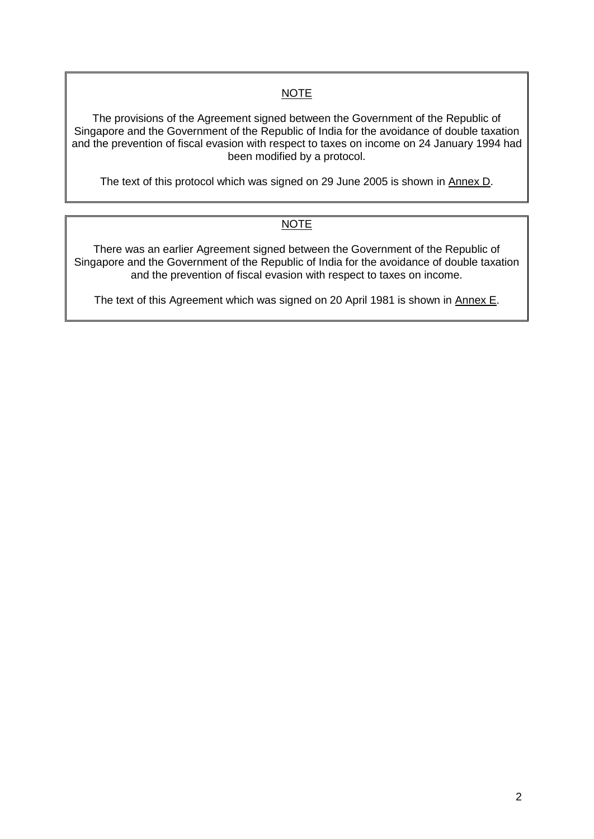### **NOTE**

The provisions of the Agreement signed between the Government of the Republic of Singapore and the Government of the Republic of India for the avoidance of double taxation and the prevention of fiscal evasion with respect to taxes on income on 24 January 1994 had been modified by a protocol.

The text of this protocol which was signed on 29 June 2005 is shown in Annex D.

# NOTE

There was an earlier Agreement signed between the Government of the Republic of Singapore and the Government of the Republic of India for the avoidance of double taxation and the prevention of fiscal evasion with respect to taxes on income.

The text of this Agreement which was signed on 20 April 1981 is shown in Annex E.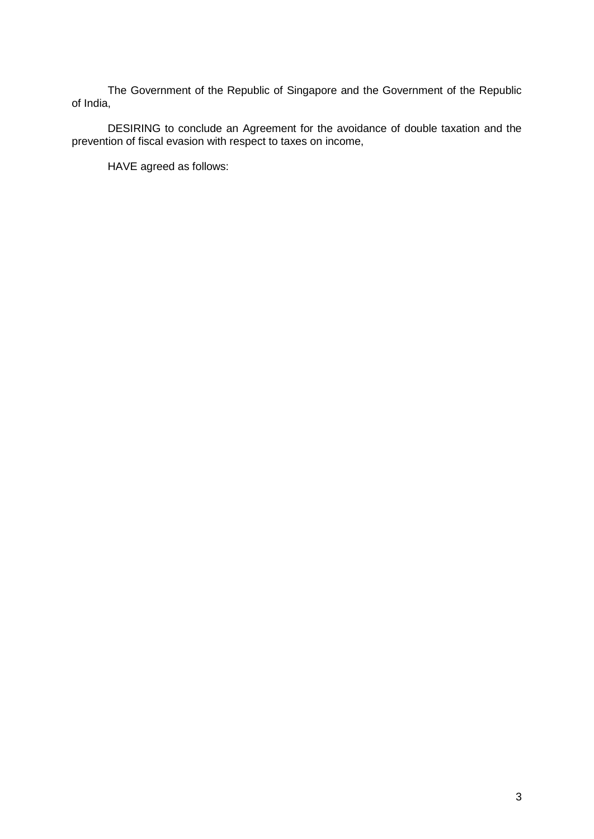The Government of the Republic of Singapore and the Government of the Republic of India,

DESIRING to conclude an Agreement for the avoidance of double taxation and the prevention of fiscal evasion with respect to taxes on income,

HAVE agreed as follows: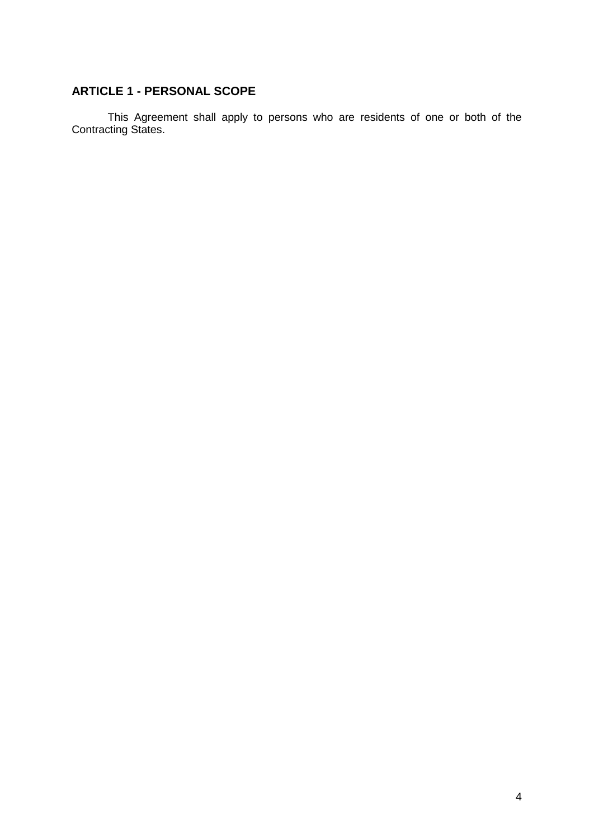# **ARTICLE 1 - PERSONAL SCOPE**

This Agreement shall apply to persons who are residents of one or both of the Contracting States.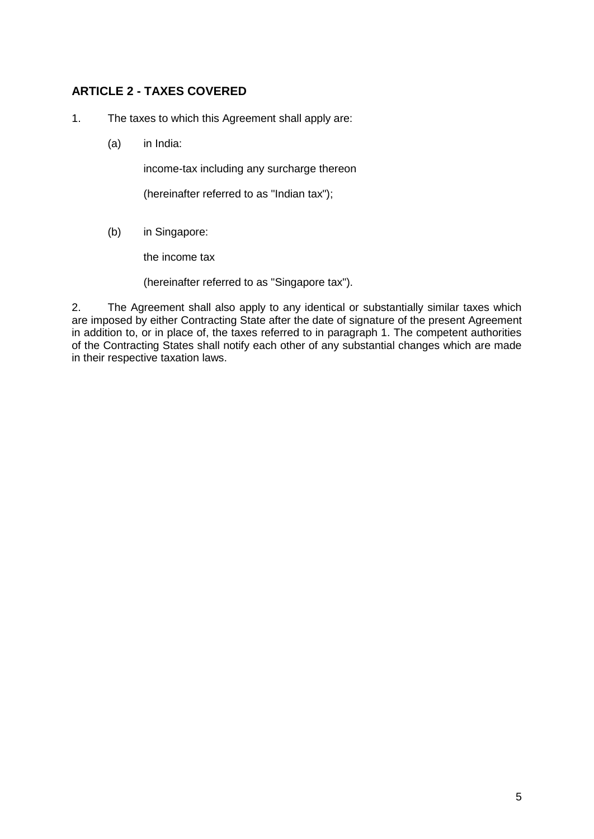# **ARTICLE 2 - TAXES COVERED**

- 1. The taxes to which this Agreement shall apply are:
	- (a) in India:

income-tax including any surcharge thereon

(hereinafter referred to as "Indian tax");

(b) in Singapore:

the income tax

(hereinafter referred to as "Singapore tax").

2. The Agreement shall also apply to any identical or substantially similar taxes which are imposed by either Contracting State after the date of signature of the present Agreement in addition to, or in place of, the taxes referred to in paragraph 1. The competent authorities of the Contracting States shall notify each other of any substantial changes which are made in their respective taxation laws.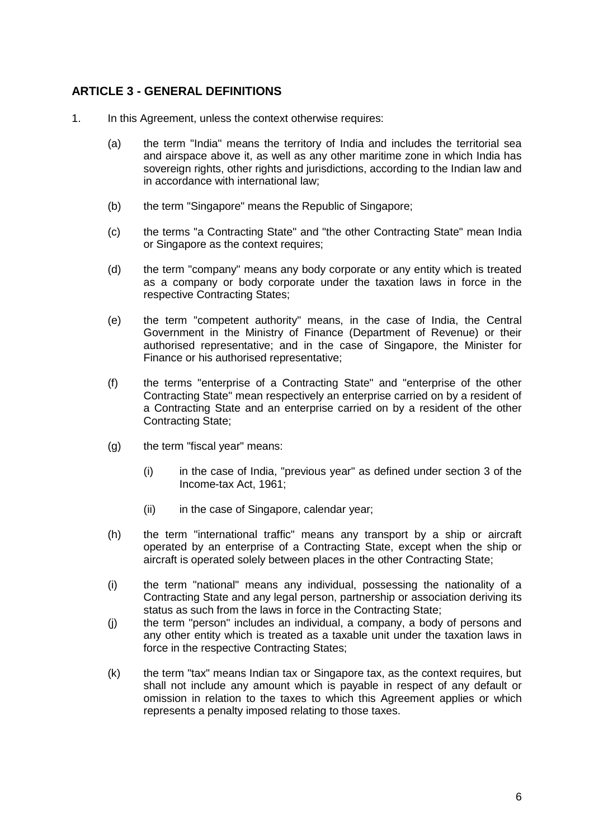# **ARTICLE 3 - GENERAL DEFINITIONS**

- 1. In this Agreement, unless the context otherwise requires:
	- (a) the term "India" means the territory of India and includes the territorial sea and airspace above it, as well as any other maritime zone in which India has sovereign rights, other rights and jurisdictions, according to the Indian law and in accordance with international law;
	- (b) the term "Singapore" means the Republic of Singapore;
	- (c) the terms "a Contracting State" and "the other Contracting State" mean India or Singapore as the context requires;
	- (d) the term "company" means any body corporate or any entity which is treated as a company or body corporate under the taxation laws in force in the respective Contracting States;
	- (e) the term "competent authority" means, in the case of India, the Central Government in the Ministry of Finance (Department of Revenue) or their authorised representative; and in the case of Singapore, the Minister for Finance or his authorised representative;
	- (f) the terms "enterprise of a Contracting State" and "enterprise of the other Contracting State" mean respectively an enterprise carried on by a resident of a Contracting State and an enterprise carried on by a resident of the other Contracting State;
	- (g) the term "fiscal year" means:
		- (i) in the case of India, "previous year" as defined under section 3 of the Income-tax Act, 1961;
		- (ii) in the case of Singapore, calendar year;
	- (h) the term "international traffic" means any transport by a ship or aircraft operated by an enterprise of a Contracting State, except when the ship or aircraft is operated solely between places in the other Contracting State;
	- (i) the term "national" means any individual, possessing the nationality of a Contracting State and any legal person, partnership or association deriving its status as such from the laws in force in the Contracting State;
	- (j) the term "person" includes an individual, a company, a body of persons and any other entity which is treated as a taxable unit under the taxation laws in force in the respective Contracting States;
	- (k) the term "tax" means Indian tax or Singapore tax, as the context requires, but shall not include any amount which is payable in respect of any default or omission in relation to the taxes to which this Agreement applies or which represents a penalty imposed relating to those taxes.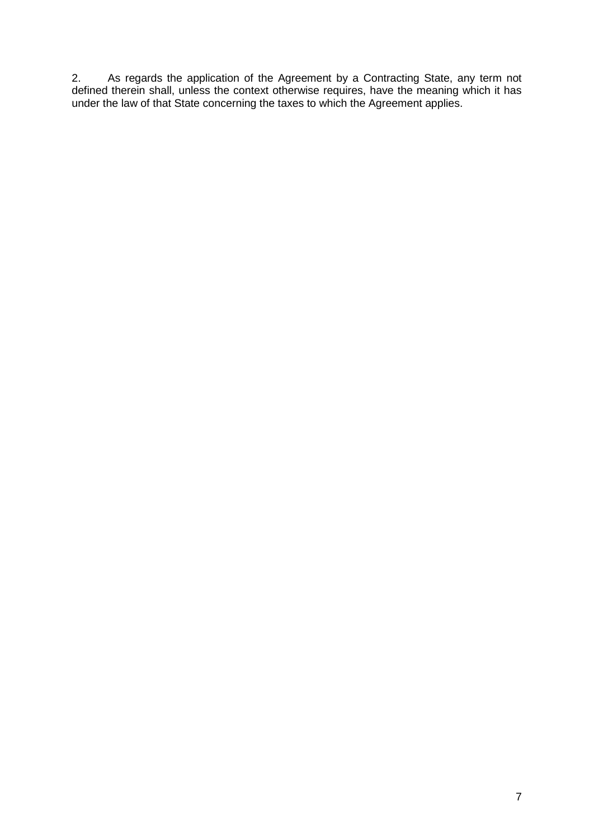2. As regards the application of the Agreement by a Contracting State, any term not defined therein shall, unless the context otherwise requires, have the meaning which it has under the law of that State concerning the taxes to which the Agreement applies.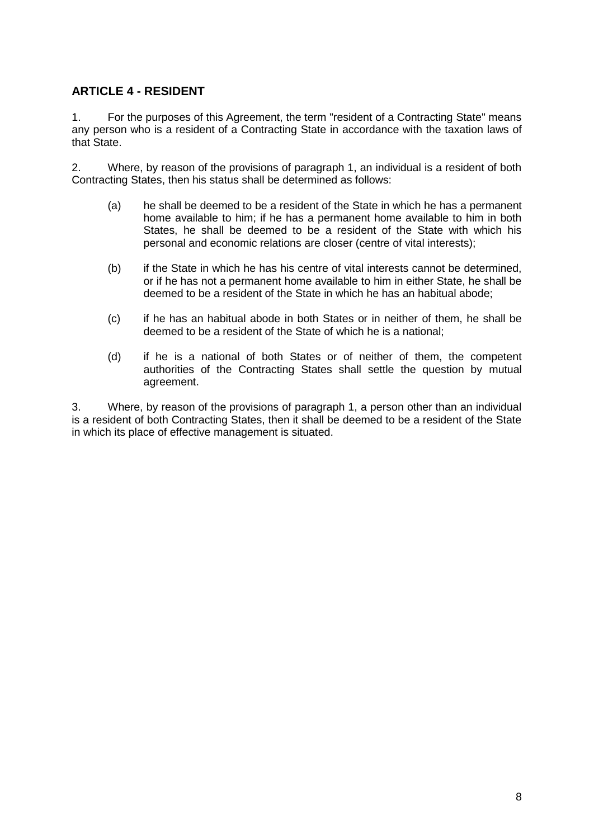# **ARTICLE 4 - RESIDENT**

1. For the purposes of this Agreement, the term "resident of a Contracting State" means any person who is a resident of a Contracting State in accordance with the taxation laws of that State.

2. Where, by reason of the provisions of paragraph 1, an individual is a resident of both Contracting States, then his status shall be determined as follows:

- (a) he shall be deemed to be a resident of the State in which he has a permanent home available to him; if he has a permanent home available to him in both States, he shall be deemed to be a resident of the State with which his personal and economic relations are closer (centre of vital interests);
- (b) if the State in which he has his centre of vital interests cannot be determined, or if he has not a permanent home available to him in either State, he shall be deemed to be a resident of the State in which he has an habitual abode;
- (c) if he has an habitual abode in both States or in neither of them, he shall be deemed to be a resident of the State of which he is a national;
- (d) if he is a national of both States or of neither of them, the competent authorities of the Contracting States shall settle the question by mutual agreement.

3. Where, by reason of the provisions of paragraph 1, a person other than an individual is a resident of both Contracting States, then it shall be deemed to be a resident of the State in which its place of effective management is situated.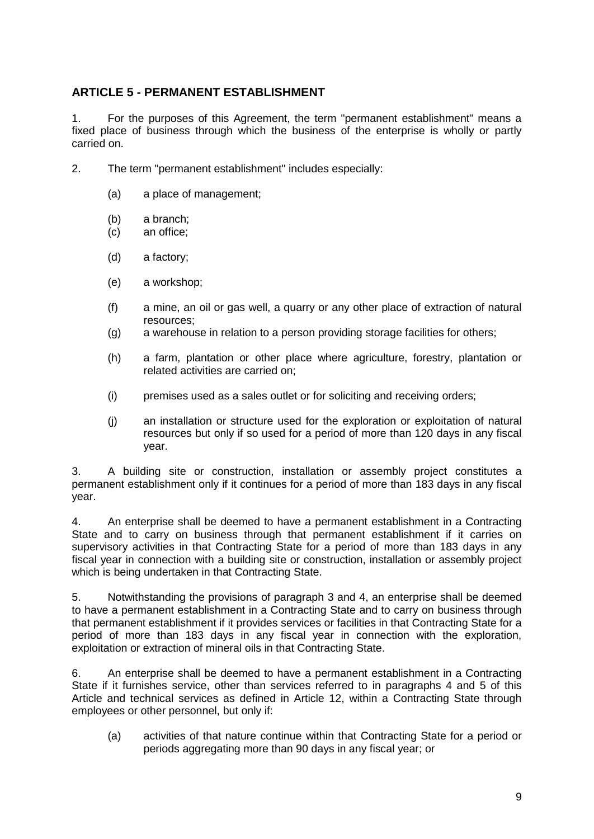## **ARTICLE 5 - PERMANENT ESTABLISHMENT**

1. For the purposes of this Agreement, the term "permanent establishment" means a fixed place of business through which the business of the enterprise is wholly or partly carried on.

- 2. The term "permanent establishment" includes especially:
	- (a) a place of management;
	- (b) a branch;
	- (c) an office;
	- (d) a factory;
	- (e) a workshop;
	- (f) a mine, an oil or gas well, a quarry or any other place of extraction of natural resources;
	- (g) a warehouse in relation to a person providing storage facilities for others;
	- (h) a farm, plantation or other place where agriculture, forestry, plantation or related activities are carried on;
	- (i) premises used as a sales outlet or for soliciting and receiving orders;
	- (j) an installation or structure used for the exploration or exploitation of natural resources but only if so used for a period of more than 120 days in any fiscal year.

3. A building site or construction, installation or assembly project constitutes a permanent establishment only if it continues for a period of more than 183 days in any fiscal year.

4. An enterprise shall be deemed to have a permanent establishment in a Contracting State and to carry on business through that permanent establishment if it carries on supervisory activities in that Contracting State for a period of more than 183 days in any fiscal year in connection with a building site or construction, installation or assembly project which is being undertaken in that Contracting State.

5. Notwithstanding the provisions of paragraph 3 and 4, an enterprise shall be deemed to have a permanent establishment in a Contracting State and to carry on business through that permanent establishment if it provides services or facilities in that Contracting State for a period of more than 183 days in any fiscal year in connection with the exploration, exploitation or extraction of mineral oils in that Contracting State.

6. An enterprise shall be deemed to have a permanent establishment in a Contracting State if it furnishes service, other than services referred to in paragraphs 4 and 5 of this Article and technical services as defined in Article 12, within a Contracting State through employees or other personnel, but only if:

(a) activities of that nature continue within that Contracting State for a period or periods aggregating more than 90 days in any fiscal year; or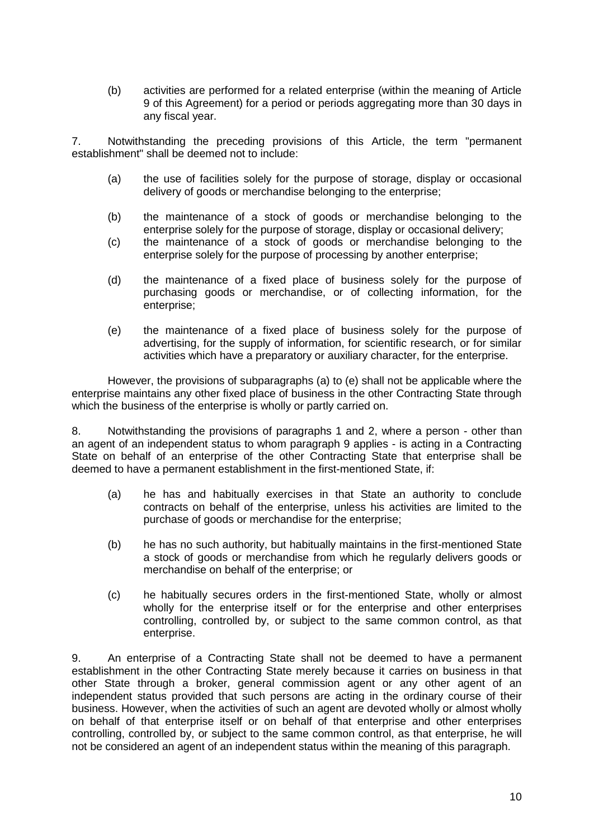(b) activities are performed for a related enterprise (within the meaning of Article 9 of this Agreement) for a period or periods aggregating more than 30 days in any fiscal year.

7. Notwithstanding the preceding provisions of this Article, the term "permanent establishment" shall be deemed not to include:

- (a) the use of facilities solely for the purpose of storage, display or occasional delivery of goods or merchandise belonging to the enterprise;
- (b) the maintenance of a stock of goods or merchandise belonging to the enterprise solely for the purpose of storage, display or occasional delivery;
- (c) the maintenance of a stock of goods or merchandise belonging to the enterprise solely for the purpose of processing by another enterprise;
- (d) the maintenance of a fixed place of business solely for the purpose of purchasing goods or merchandise, or of collecting information, for the enterprise;
- (e) the maintenance of a fixed place of business solely for the purpose of advertising, for the supply of information, for scientific research, or for similar activities which have a preparatory or auxiliary character, for the enterprise.

However, the provisions of subparagraphs (a) to (e) shall not be applicable where the enterprise maintains any other fixed place of business in the other Contracting State through which the business of the enterprise is wholly or partly carried on.

8. Notwithstanding the provisions of paragraphs 1 and 2, where a person - other than an agent of an independent status to whom paragraph 9 applies - is acting in a Contracting State on behalf of an enterprise of the other Contracting State that enterprise shall be deemed to have a permanent establishment in the first-mentioned State, if:

- (a) he has and habitually exercises in that State an authority to conclude contracts on behalf of the enterprise, unless his activities are limited to the purchase of goods or merchandise for the enterprise;
- (b) he has no such authority, but habitually maintains in the first-mentioned State a stock of goods or merchandise from which he regularly delivers goods or merchandise on behalf of the enterprise; or
- (c) he habitually secures orders in the first-mentioned State, wholly or almost wholly for the enterprise itself or for the enterprise and other enterprises controlling, controlled by, or subject to the same common control, as that enterprise.

9. An enterprise of a Contracting State shall not be deemed to have a permanent establishment in the other Contracting State merely because it carries on business in that other State through a broker, general commission agent or any other agent of an independent status provided that such persons are acting in the ordinary course of their business. However, when the activities of such an agent are devoted wholly or almost wholly on behalf of that enterprise itself or on behalf of that enterprise and other enterprises controlling, controlled by, or subject to the same common control, as that enterprise, he will not be considered an agent of an independent status within the meaning of this paragraph.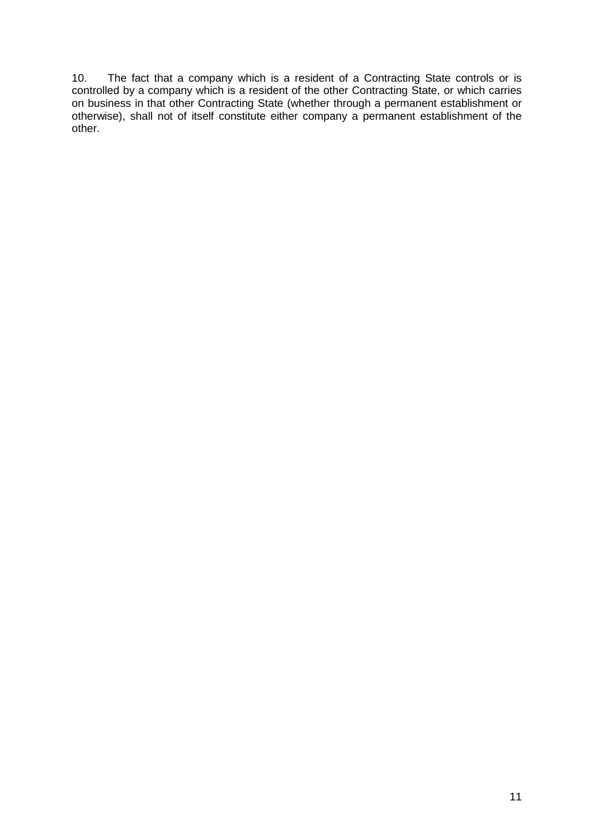10. The fact that a company which is a resident of a Contracting State controls or is controlled by a company which is a resident of the other Contracting State, or which carries on business in that other Contracting State (whether through a permanent establishment or otherwise), shall not of itself constitute either company a permanent establishment of the other.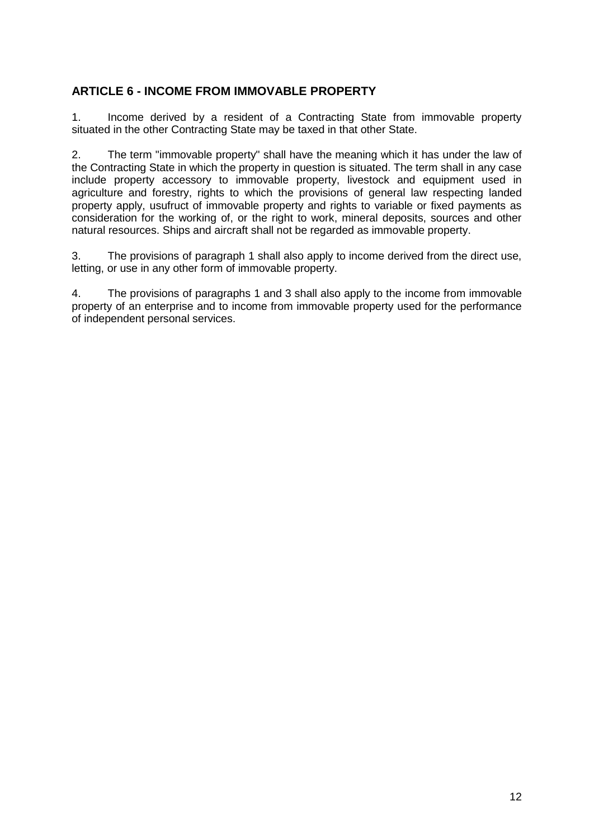# **ARTICLE 6 - INCOME FROM IMMOVABLE PROPERTY**

1. Income derived by a resident of a Contracting State from immovable property situated in the other Contracting State may be taxed in that other State.

2. The term "immovable property" shall have the meaning which it has under the law of the Contracting State in which the property in question is situated. The term shall in any case include property accessory to immovable property, livestock and equipment used in agriculture and forestry, rights to which the provisions of general law respecting landed property apply, usufruct of immovable property and rights to variable or fixed payments as consideration for the working of, or the right to work, mineral deposits, sources and other natural resources. Ships and aircraft shall not be regarded as immovable property.

3. The provisions of paragraph 1 shall also apply to income derived from the direct use, letting, or use in any other form of immovable property.

4. The provisions of paragraphs 1 and 3 shall also apply to the income from immovable property of an enterprise and to income from immovable property used for the performance of independent personal services.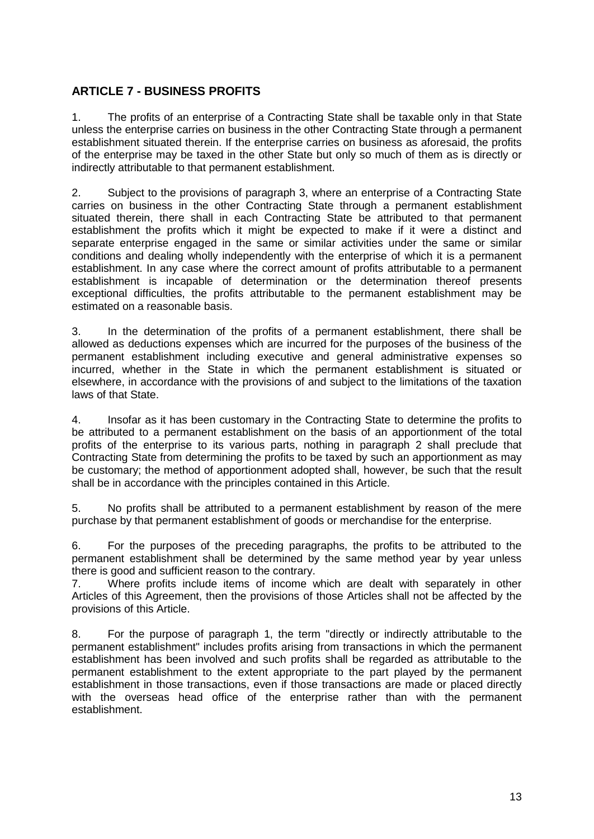# **ARTICLE 7 - BUSINESS PROFITS**

1. The profits of an enterprise of a Contracting State shall be taxable only in that State unless the enterprise carries on business in the other Contracting State through a permanent establishment situated therein. If the enterprise carries on business as aforesaid, the profits of the enterprise may be taxed in the other State but only so much of them as is directly or indirectly attributable to that permanent establishment.

2. Subject to the provisions of paragraph 3, where an enterprise of a Contracting State carries on business in the other Contracting State through a permanent establishment situated therein, there shall in each Contracting State be attributed to that permanent establishment the profits which it might be expected to make if it were a distinct and separate enterprise engaged in the same or similar activities under the same or similar conditions and dealing wholly independently with the enterprise of which it is a permanent establishment. In any case where the correct amount of profits attributable to a permanent establishment is incapable of determination or the determination thereof presents exceptional difficulties, the profits attributable to the permanent establishment may be estimated on a reasonable basis.

3. In the determination of the profits of a permanent establishment, there shall be allowed as deductions expenses which are incurred for the purposes of the business of the permanent establishment including executive and general administrative expenses so incurred, whether in the State in which the permanent establishment is situated or elsewhere, in accordance with the provisions of and subject to the limitations of the taxation laws of that State.

4. Insofar as it has been customary in the Contracting State to determine the profits to be attributed to a permanent establishment on the basis of an apportionment of the total profits of the enterprise to its various parts, nothing in paragraph 2 shall preclude that Contracting State from determining the profits to be taxed by such an apportionment as may be customary; the method of apportionment adopted shall, however, be such that the result shall be in accordance with the principles contained in this Article.

5. No profits shall be attributed to a permanent establishment by reason of the mere purchase by that permanent establishment of goods or merchandise for the enterprise.

6. For the purposes of the preceding paragraphs, the profits to be attributed to the permanent establishment shall be determined by the same method year by year unless there is good and sufficient reason to the contrary.

7. Where profits include items of income which are dealt with separately in other Articles of this Agreement, then the provisions of those Articles shall not be affected by the provisions of this Article.

8. For the purpose of paragraph 1, the term "directly or indirectly attributable to the permanent establishment" includes profits arising from transactions in which the permanent establishment has been involved and such profits shall be regarded as attributable to the permanent establishment to the extent appropriate to the part played by the permanent establishment in those transactions, even if those transactions are made or placed directly with the overseas head office of the enterprise rather than with the permanent establishment.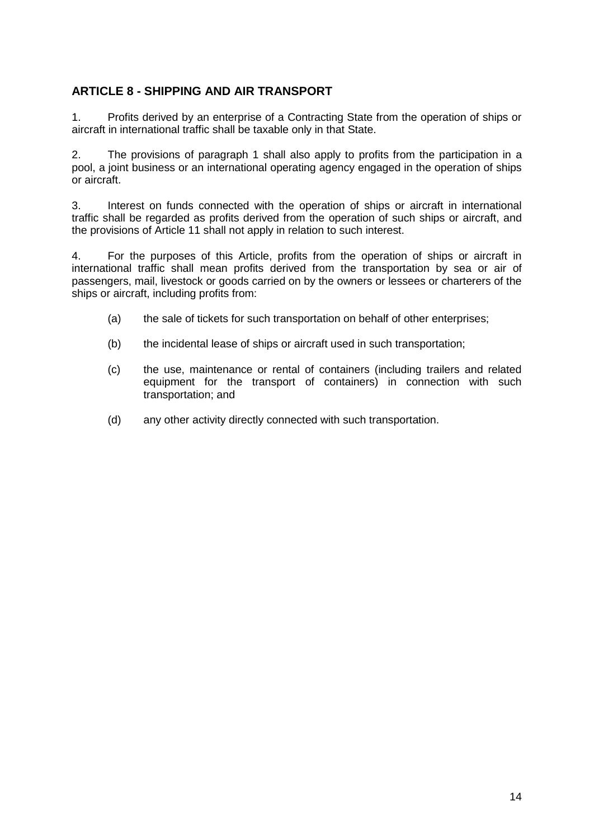# **ARTICLE 8 - SHIPPING AND AIR TRANSPORT**

1. Profits derived by an enterprise of a Contracting State from the operation of ships or aircraft in international traffic shall be taxable only in that State.

2. The provisions of paragraph 1 shall also apply to profits from the participation in a pool, a joint business or an international operating agency engaged in the operation of ships or aircraft.

3. Interest on funds connected with the operation of ships or aircraft in international traffic shall be regarded as profits derived from the operation of such ships or aircraft, and the provisions of Article 11 shall not apply in relation to such interest.

4. For the purposes of this Article, profits from the operation of ships or aircraft in international traffic shall mean profits derived from the transportation by sea or air of passengers, mail, livestock or goods carried on by the owners or lessees or charterers of the ships or aircraft, including profits from:

- (a) the sale of tickets for such transportation on behalf of other enterprises;
- (b) the incidental lease of ships or aircraft used in such transportation;
- (c) the use, maintenance or rental of containers (including trailers and related equipment for the transport of containers) in connection with such transportation; and
- (d) any other activity directly connected with such transportation.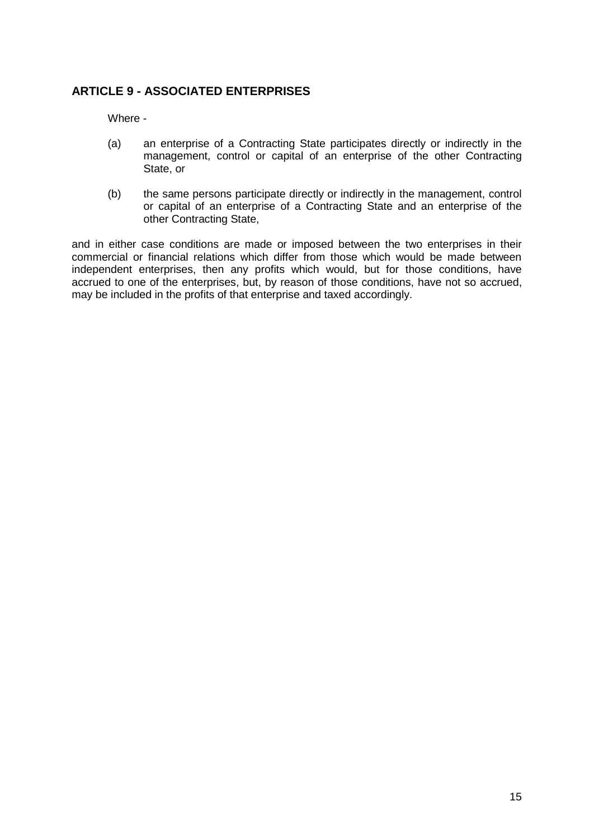# **ARTICLE 9 - ASSOCIATED ENTERPRISES**

Where -

- (a) an enterprise of a Contracting State participates directly or indirectly in the management, control or capital of an enterprise of the other Contracting State, or
- (b) the same persons participate directly or indirectly in the management, control or capital of an enterprise of a Contracting State and an enterprise of the other Contracting State,

and in either case conditions are made or imposed between the two enterprises in their commercial or financial relations which differ from those which would be made between independent enterprises, then any profits which would, but for those conditions, have accrued to one of the enterprises, but, by reason of those conditions, have not so accrued, may be included in the profits of that enterprise and taxed accordingly.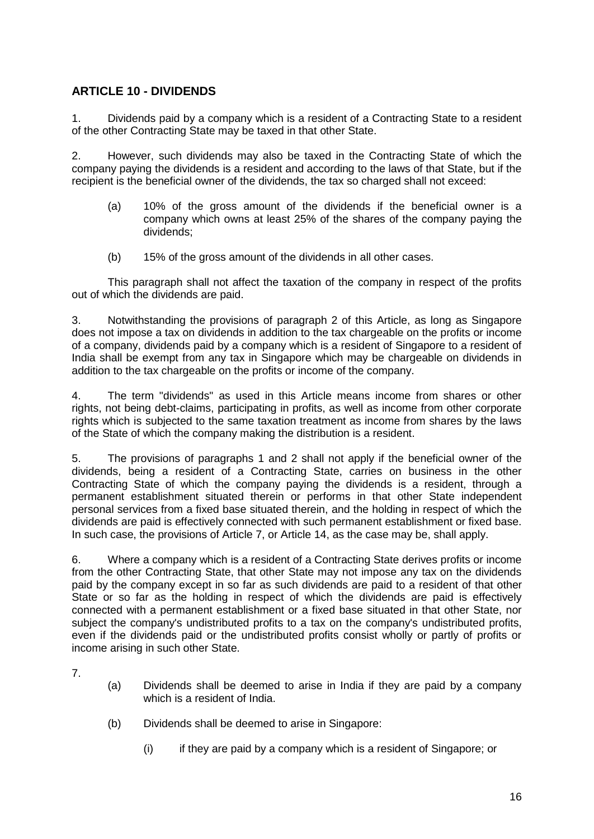# **ARTICLE 10 - DIVIDENDS**

1. Dividends paid by a company which is a resident of a Contracting State to a resident of the other Contracting State may be taxed in that other State.

2. However, such dividends may also be taxed in the Contracting State of which the company paying the dividends is a resident and according to the laws of that State, but if the recipient is the beneficial owner of the dividends, the tax so charged shall not exceed:

- (a) 10% of the gross amount of the dividends if the beneficial owner is a company which owns at least 25% of the shares of the company paying the dividends;
- (b) 15% of the gross amount of the dividends in all other cases.

This paragraph shall not affect the taxation of the company in respect of the profits out of which the dividends are paid.

3. Notwithstanding the provisions of paragraph 2 of this Article, as long as Singapore does not impose a tax on dividends in addition to the tax chargeable on the profits or income of a company, dividends paid by a company which is a resident of Singapore to a resident of India shall be exempt from any tax in Singapore which may be chargeable on dividends in addition to the tax chargeable on the profits or income of the company.

4. The term "dividends" as used in this Article means income from shares or other rights, not being debt-claims, participating in profits, as well as income from other corporate rights which is subjected to the same taxation treatment as income from shares by the laws of the State of which the company making the distribution is a resident.

5. The provisions of paragraphs 1 and 2 shall not apply if the beneficial owner of the dividends, being a resident of a Contracting State, carries on business in the other Contracting State of which the company paying the dividends is a resident, through a permanent establishment situated therein or performs in that other State independent personal services from a fixed base situated therein, and the holding in respect of which the dividends are paid is effectively connected with such permanent establishment or fixed base. In such case, the provisions of Article 7, or Article 14, as the case may be, shall apply.

6. Where a company which is a resident of a Contracting State derives profits or income from the other Contracting State, that other State may not impose any tax on the dividends paid by the company except in so far as such dividends are paid to a resident of that other State or so far as the holding in respect of which the dividends are paid is effectively connected with a permanent establishment or a fixed base situated in that other State, nor subject the company's undistributed profits to a tax on the company's undistributed profits, even if the dividends paid or the undistributed profits consist wholly or partly of profits or income arising in such other State.

7.

- (a) Dividends shall be deemed to arise in India if they are paid by a company which is a resident of India.
- (b) Dividends shall be deemed to arise in Singapore:
	- (i) if they are paid by a company which is a resident of Singapore; or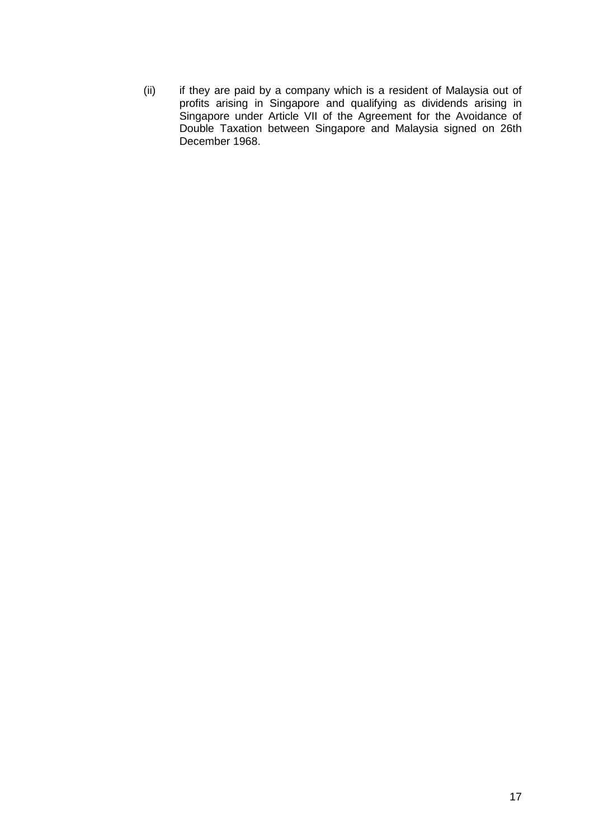(ii) if they are paid by a company which is a resident of Malaysia out of profits arising in Singapore and qualifying as dividends arising in Singapore under Article VII of the Agreement for the Avoidance of Double Taxation between Singapore and Malaysia signed on 26th December 1968.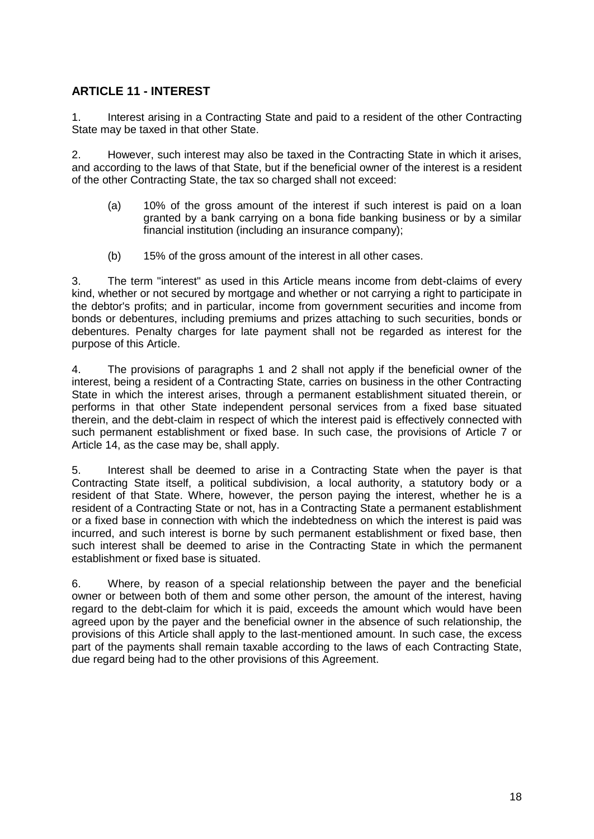# **ARTICLE 11 - INTEREST**

1. Interest arising in a Contracting State and paid to a resident of the other Contracting State may be taxed in that other State.

2. However, such interest may also be taxed in the Contracting State in which it arises, and according to the laws of that State, but if the beneficial owner of the interest is a resident of the other Contracting State, the tax so charged shall not exceed:

- (a) 10% of the gross amount of the interest if such interest is paid on a loan granted by a bank carrying on a bona fide banking business or by a similar financial institution (including an insurance company);
- (b) 15% of the gross amount of the interest in all other cases.

3. The term "interest" as used in this Article means income from debt-claims of every kind, whether or not secured by mortgage and whether or not carrying a right to participate in the debtor's profits; and in particular, income from government securities and income from bonds or debentures, including premiums and prizes attaching to such securities, bonds or debentures. Penalty charges for late payment shall not be regarded as interest for the purpose of this Article.

4. The provisions of paragraphs 1 and 2 shall not apply if the beneficial owner of the interest, being a resident of a Contracting State, carries on business in the other Contracting State in which the interest arises, through a permanent establishment situated therein, or performs in that other State independent personal services from a fixed base situated therein, and the debt-claim in respect of which the interest paid is effectively connected with such permanent establishment or fixed base. In such case, the provisions of Article 7 or Article 14, as the case may be, shall apply.

5. Interest shall be deemed to arise in a Contracting State when the payer is that Contracting State itself, a political subdivision, a local authority, a statutory body or a resident of that State. Where, however, the person paying the interest, whether he is a resident of a Contracting State or not, has in a Contracting State a permanent establishment or a fixed base in connection with which the indebtedness on which the interest is paid was incurred, and such interest is borne by such permanent establishment or fixed base, then such interest shall be deemed to arise in the Contracting State in which the permanent establishment or fixed base is situated.

6. Where, by reason of a special relationship between the payer and the beneficial owner or between both of them and some other person, the amount of the interest, having regard to the debt-claim for which it is paid, exceeds the amount which would have been agreed upon by the payer and the beneficial owner in the absence of such relationship, the provisions of this Article shall apply to the last-mentioned amount. In such case, the excess part of the payments shall remain taxable according to the laws of each Contracting State, due regard being had to the other provisions of this Agreement.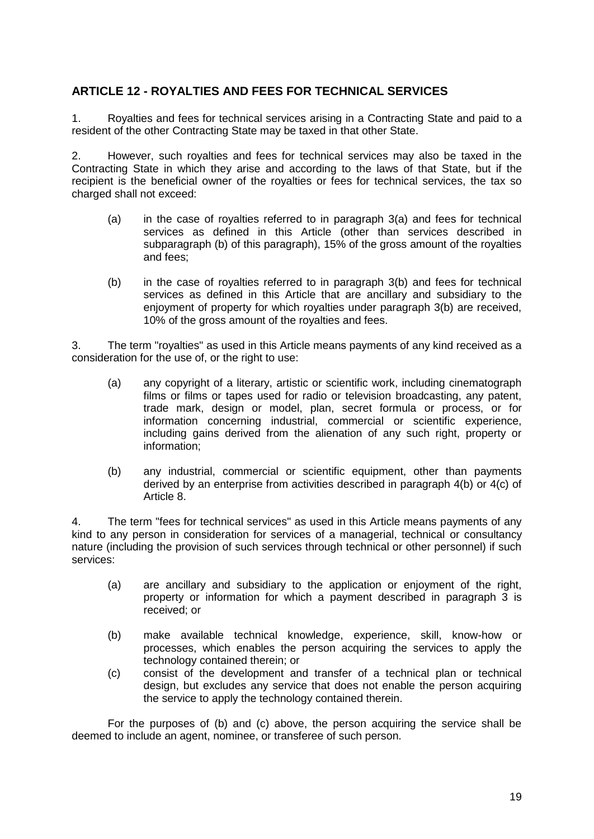# **ARTICLE 12 - ROYALTIES AND FEES FOR TECHNICAL SERVICES**

1. Royalties and fees for technical services arising in a Contracting State and paid to a resident of the other Contracting State may be taxed in that other State.

2. However, such royalties and fees for technical services may also be taxed in the Contracting State in which they arise and according to the laws of that State, but if the recipient is the beneficial owner of the royalties or fees for technical services, the tax so charged shall not exceed:

- (a) in the case of royalties referred to in paragraph  $3(a)$  and fees for technical services as defined in this Article (other than services described in subparagraph (b) of this paragraph), 15% of the gross amount of the royalties and fees;
- (b) in the case of royalties referred to in paragraph 3(b) and fees for technical services as defined in this Article that are ancillary and subsidiary to the enjoyment of property for which royalties under paragraph 3(b) are received, 10% of the gross amount of the royalties and fees.

3. The term "royalties" as used in this Article means payments of any kind received as a consideration for the use of, or the right to use:

- (a) any copyright of a literary, artistic or scientific work, including cinematograph films or films or tapes used for radio or television broadcasting, any patent, trade mark, design or model, plan, secret formula or process, or for information concerning industrial, commercial or scientific experience, including gains derived from the alienation of any such right, property or information;
- (b) any industrial, commercial or scientific equipment, other than payments derived by an enterprise from activities described in paragraph 4(b) or 4(c) of Article 8.

4. The term "fees for technical services" as used in this Article means payments of any kind to any person in consideration for services of a managerial, technical or consultancy nature (including the provision of such services through technical or other personnel) if such services:

- (a) are ancillary and subsidiary to the application or enjoyment of the right, property or information for which a payment described in paragraph 3 is received; or
- (b) make available technical knowledge, experience, skill, know-how or processes, which enables the person acquiring the services to apply the technology contained therein; or
- (c) consist of the development and transfer of a technical plan or technical design, but excludes any service that does not enable the person acquiring the service to apply the technology contained therein.

For the purposes of (b) and (c) above, the person acquiring the service shall be deemed to include an agent, nominee, or transferee of such person.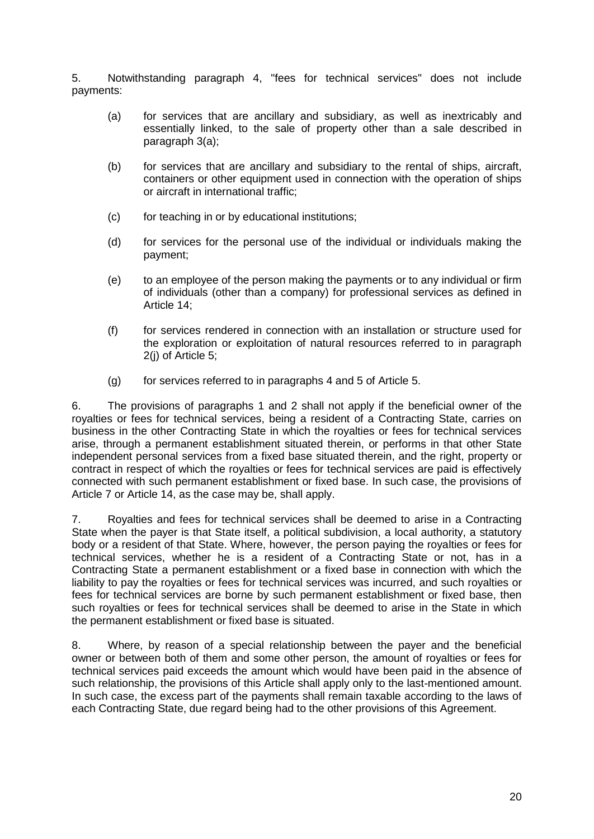5. Notwithstanding paragraph 4, "fees for technical services" does not include payments:

- (a) for services that are ancillary and subsidiary, as well as inextricably and essentially linked, to the sale of property other than a sale described in paragraph 3(a);
- (b) for services that are ancillary and subsidiary to the rental of ships, aircraft, containers or other equipment used in connection with the operation of ships or aircraft in international traffic;
- (c) for teaching in or by educational institutions;
- (d) for services for the personal use of the individual or individuals making the payment;
- (e) to an employee of the person making the payments or to any individual or firm of individuals (other than a company) for professional services as defined in Article 14;
- (f) for services rendered in connection with an installation or structure used for the exploration or exploitation of natural resources referred to in paragraph 2(j) of Article 5;
- (g) for services referred to in paragraphs 4 and 5 of Article 5.

6. The provisions of paragraphs 1 and 2 shall not apply if the beneficial owner of the royalties or fees for technical services, being a resident of a Contracting State, carries on business in the other Contracting State in which the royalties or fees for technical services arise, through a permanent establishment situated therein, or performs in that other State independent personal services from a fixed base situated therein, and the right, property or contract in respect of which the royalties or fees for technical services are paid is effectively connected with such permanent establishment or fixed base. In such case, the provisions of Article 7 or Article 14, as the case may be, shall apply.

7. Royalties and fees for technical services shall be deemed to arise in a Contracting State when the payer is that State itself, a political subdivision, a local authority, a statutory body or a resident of that State. Where, however, the person paying the royalties or fees for technical services, whether he is a resident of a Contracting State or not, has in a Contracting State a permanent establishment or a fixed base in connection with which the liability to pay the royalties or fees for technical services was incurred, and such royalties or fees for technical services are borne by such permanent establishment or fixed base, then such royalties or fees for technical services shall be deemed to arise in the State in which the permanent establishment or fixed base is situated.

8. Where, by reason of a special relationship between the payer and the beneficial owner or between both of them and some other person, the amount of royalties or fees for technical services paid exceeds the amount which would have been paid in the absence of such relationship, the provisions of this Article shall apply only to the last-mentioned amount. In such case, the excess part of the payments shall remain taxable according to the laws of each Contracting State, due regard being had to the other provisions of this Agreement.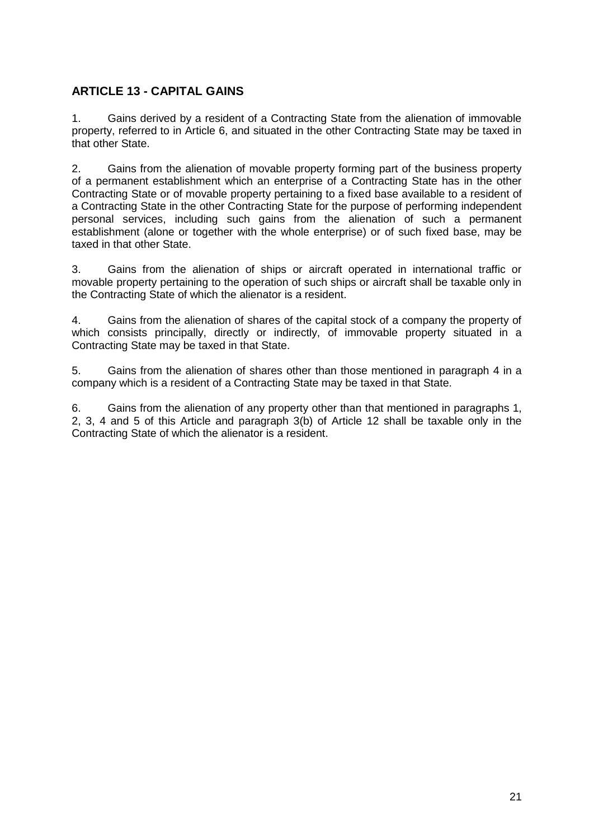# **ARTICLE 13 - CAPITAL GAINS**

1. Gains derived by a resident of a Contracting State from the alienation of immovable property, referred to in Article 6, and situated in the other Contracting State may be taxed in that other State.

2. Gains from the alienation of movable property forming part of the business property of a permanent establishment which an enterprise of a Contracting State has in the other Contracting State or of movable property pertaining to a fixed base available to a resident of a Contracting State in the other Contracting State for the purpose of performing independent personal services, including such gains from the alienation of such a permanent establishment (alone or together with the whole enterprise) or of such fixed base, may be taxed in that other State.

3. Gains from the alienation of ships or aircraft operated in international traffic or movable property pertaining to the operation of such ships or aircraft shall be taxable only in the Contracting State of which the alienator is a resident.

4. Gains from the alienation of shares of the capital stock of a company the property of which consists principally, directly or indirectly, of immovable property situated in a Contracting State may be taxed in that State.

5. Gains from the alienation of shares other than those mentioned in paragraph 4 in a company which is a resident of a Contracting State may be taxed in that State.

6. Gains from the alienation of any property other than that mentioned in paragraphs 1, 2, 3, 4 and 5 of this Article and paragraph 3(b) of Article 12 shall be taxable only in the Contracting State of which the alienator is a resident.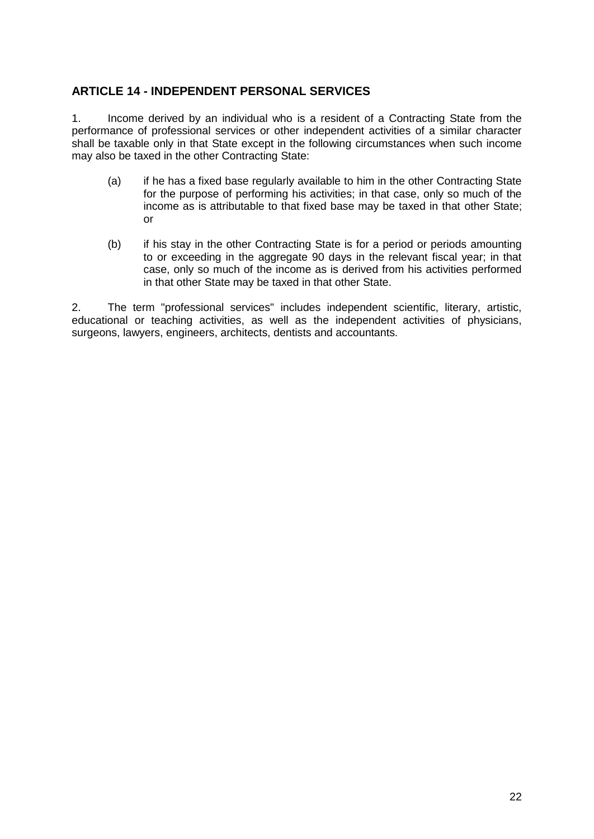## **ARTICLE 14 - INDEPENDENT PERSONAL SERVICES**

1. Income derived by an individual who is a resident of a Contracting State from the performance of professional services or other independent activities of a similar character shall be taxable only in that State except in the following circumstances when such income may also be taxed in the other Contracting State:

- (a) if he has a fixed base regularly available to him in the other Contracting State for the purpose of performing his activities; in that case, only so much of the income as is attributable to that fixed base may be taxed in that other State; or
- (b) if his stay in the other Contracting State is for a period or periods amounting to or exceeding in the aggregate 90 days in the relevant fiscal year; in that case, only so much of the income as is derived from his activities performed in that other State may be taxed in that other State.

2. The term "professional services" includes independent scientific, literary, artistic, educational or teaching activities, as well as the independent activities of physicians, surgeons, lawyers, engineers, architects, dentists and accountants.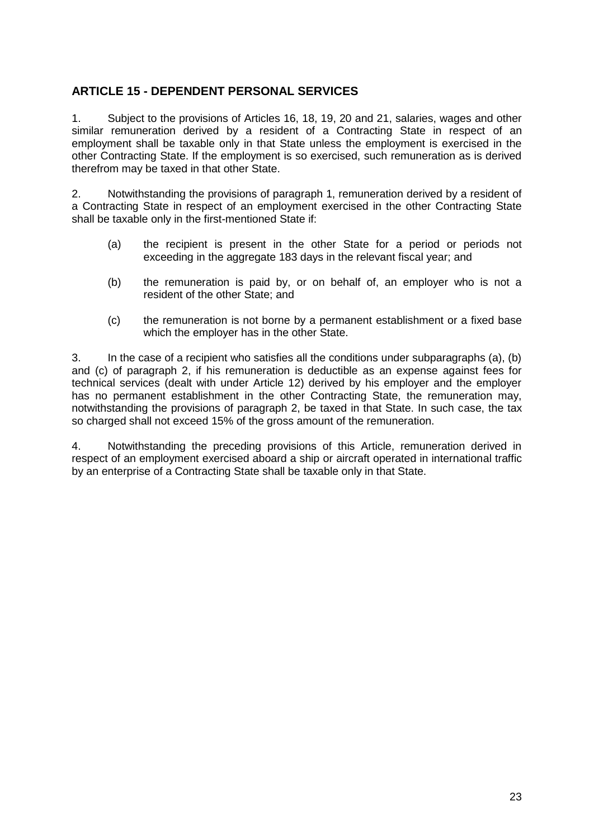## **ARTICLE 15 - DEPENDENT PERSONAL SERVICES**

1. Subject to the provisions of Articles 16, 18, 19, 20 and 21, salaries, wages and other similar remuneration derived by a resident of a Contracting State in respect of an employment shall be taxable only in that State unless the employment is exercised in the other Contracting State. If the employment is so exercised, such remuneration as is derived therefrom may be taxed in that other State.

2. Notwithstanding the provisions of paragraph 1, remuneration derived by a resident of a Contracting State in respect of an employment exercised in the other Contracting State shall be taxable only in the first-mentioned State if:

- (a) the recipient is present in the other State for a period or periods not exceeding in the aggregate 183 days in the relevant fiscal year; and
- (b) the remuneration is paid by, or on behalf of, an employer who is not a resident of the other State; and
- (c) the remuneration is not borne by a permanent establishment or a fixed base which the employer has in the other State.

3. In the case of a recipient who satisfies all the conditions under subparagraphs (a), (b) and (c) of paragraph 2, if his remuneration is deductible as an expense against fees for technical services (dealt with under Article 12) derived by his employer and the employer has no permanent establishment in the other Contracting State, the remuneration may, notwithstanding the provisions of paragraph 2, be taxed in that State. In such case, the tax so charged shall not exceed 15% of the gross amount of the remuneration.

4. Notwithstanding the preceding provisions of this Article, remuneration derived in respect of an employment exercised aboard a ship or aircraft operated in international traffic by an enterprise of a Contracting State shall be taxable only in that State.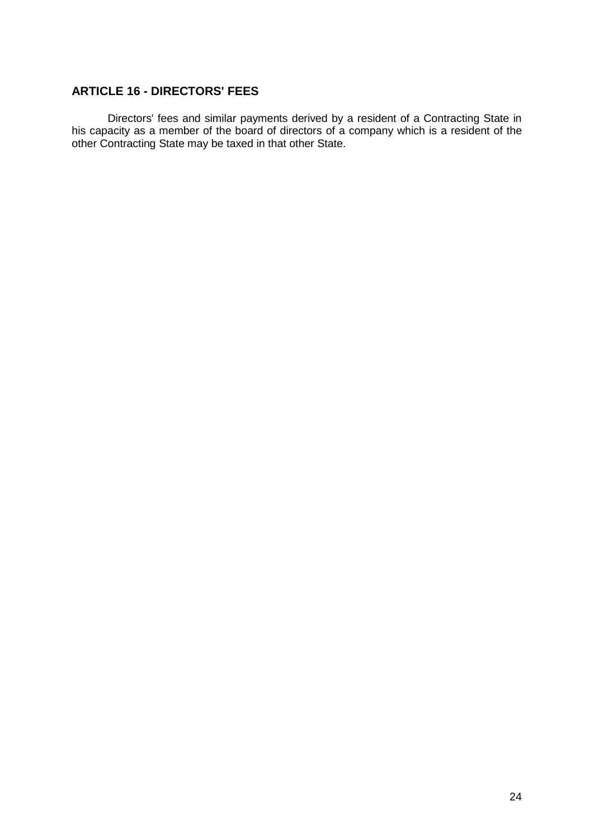#### **ARTICLE 16 - DIRECTORS' FEES**

Directors' fees and similar payments derived by a resident of a Contracting State in his capacity as a member of the board of directors of a company which is a resident of the other Contracting State may be taxed in that other State.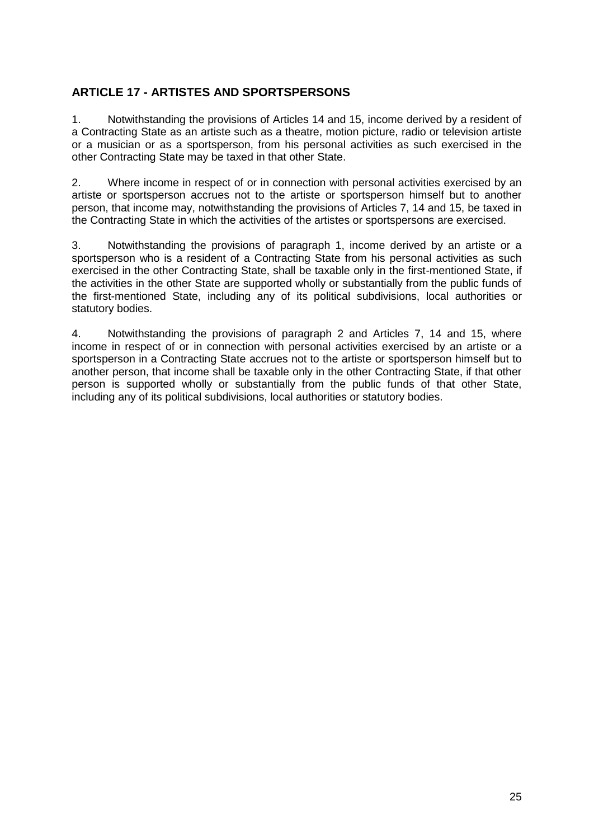## **ARTICLE 17 - ARTISTES AND SPORTSPERSONS**

1. Notwithstanding the provisions of Articles 14 and 15, income derived by a resident of a Contracting State as an artiste such as a theatre, motion picture, radio or television artiste or a musician or as a sportsperson, from his personal activities as such exercised in the other Contracting State may be taxed in that other State.

2. Where income in respect of or in connection with personal activities exercised by an artiste or sportsperson accrues not to the artiste or sportsperson himself but to another person, that income may, notwithstanding the provisions of Articles 7, 14 and 15, be taxed in the Contracting State in which the activities of the artistes or sportspersons are exercised.

3. Notwithstanding the provisions of paragraph 1, income derived by an artiste or a sportsperson who is a resident of a Contracting State from his personal activities as such exercised in the other Contracting State, shall be taxable only in the first-mentioned State, if the activities in the other State are supported wholly or substantially from the public funds of the first-mentioned State, including any of its political subdivisions, local authorities or statutory bodies.

4. Notwithstanding the provisions of paragraph 2 and Articles 7, 14 and 15, where income in respect of or in connection with personal activities exercised by an artiste or a sportsperson in a Contracting State accrues not to the artiste or sportsperson himself but to another person, that income shall be taxable only in the other Contracting State, if that other person is supported wholly or substantially from the public funds of that other State, including any of its political subdivisions, local authorities or statutory bodies.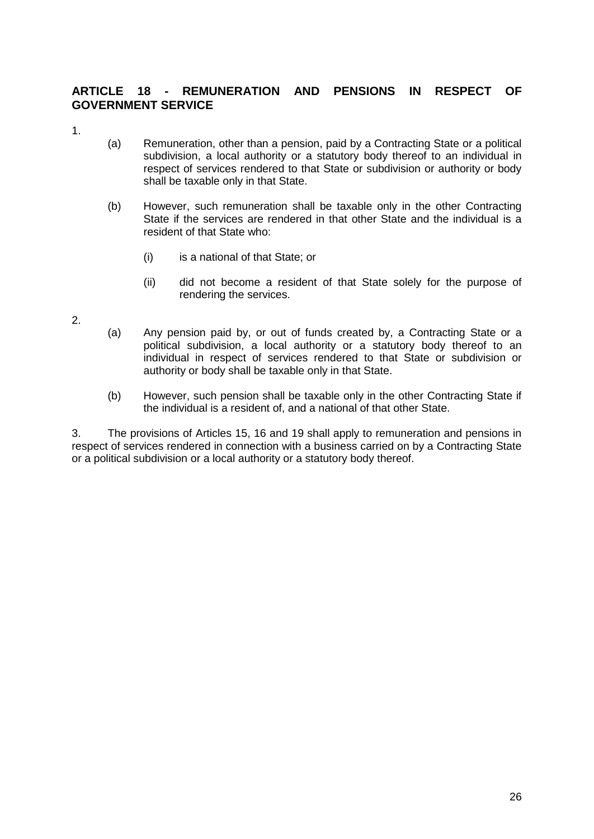## **ARTICLE 18 - REMUNERATION AND PENSIONS IN RESPECT OF GOVERNMENT SERVICE**

- 1.
- (a) Remuneration, other than a pension, paid by a Contracting State or a political subdivision, a local authority or a statutory body thereof to an individual in respect of services rendered to that State or subdivision or authority or body shall be taxable only in that State.
- (b) However, such remuneration shall be taxable only in the other Contracting State if the services are rendered in that other State and the individual is a resident of that State who:
	- (i) is a national of that State; or
	- (ii) did not become a resident of that State solely for the purpose of rendering the services.
- $\mathcal{P}$
- (a) Any pension paid by, or out of funds created by, a Contracting State or a political subdivision, a local authority or a statutory body thereof to an individual in respect of services rendered to that State or subdivision or authority or body shall be taxable only in that State.
- (b) However, such pension shall be taxable only in the other Contracting State if the individual is a resident of, and a national of that other State.

3. The provisions of Articles 15, 16 and 19 shall apply to remuneration and pensions in respect of services rendered in connection with a business carried on by a Contracting State or a political subdivision or a local authority or a statutory body thereof.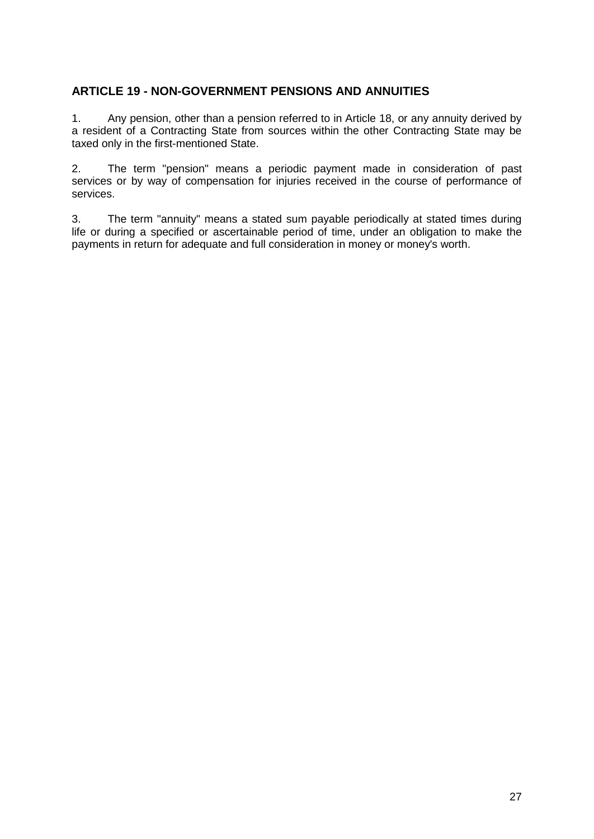## **ARTICLE 19 - NON-GOVERNMENT PENSIONS AND ANNUITIES**

1. Any pension, other than a pension referred to in Article 18, or any annuity derived by a resident of a Contracting State from sources within the other Contracting State may be taxed only in the first-mentioned State.

2. The term "pension" means a periodic payment made in consideration of past services or by way of compensation for injuries received in the course of performance of services.

3. The term "annuity" means a stated sum payable periodically at stated times during life or during a specified or ascertainable period of time, under an obligation to make the payments in return for adequate and full consideration in money or money's worth.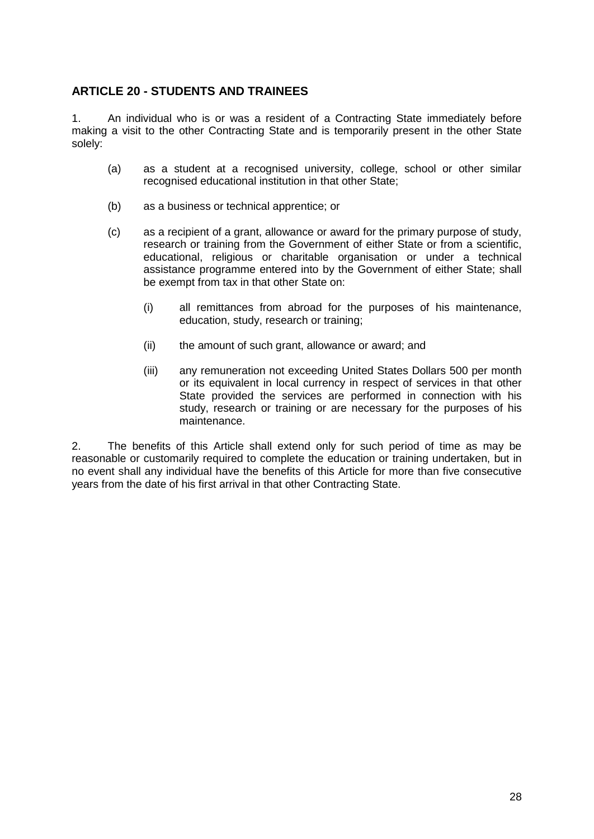## **ARTICLE 20 - STUDENTS AND TRAINEES**

1. An individual who is or was a resident of a Contracting State immediately before making a visit to the other Contracting State and is temporarily present in the other State solely:

- (a) as a student at a recognised university, college, school or other similar recognised educational institution in that other State;
- (b) as a business or technical apprentice; or
- (c) as a recipient of a grant, allowance or award for the primary purpose of study, research or training from the Government of either State or from a scientific, educational, religious or charitable organisation or under a technical assistance programme entered into by the Government of either State; shall be exempt from tax in that other State on:
	- (i) all remittances from abroad for the purposes of his maintenance, education, study, research or training;
	- (ii) the amount of such grant, allowance or award; and
	- (iii) any remuneration not exceeding United States Dollars 500 per month or its equivalent in local currency in respect of services in that other State provided the services are performed in connection with his study, research or training or are necessary for the purposes of his maintenance.

2. The benefits of this Article shall extend only for such period of time as may be reasonable or customarily required to complete the education or training undertaken, but in no event shall any individual have the benefits of this Article for more than five consecutive years from the date of his first arrival in that other Contracting State.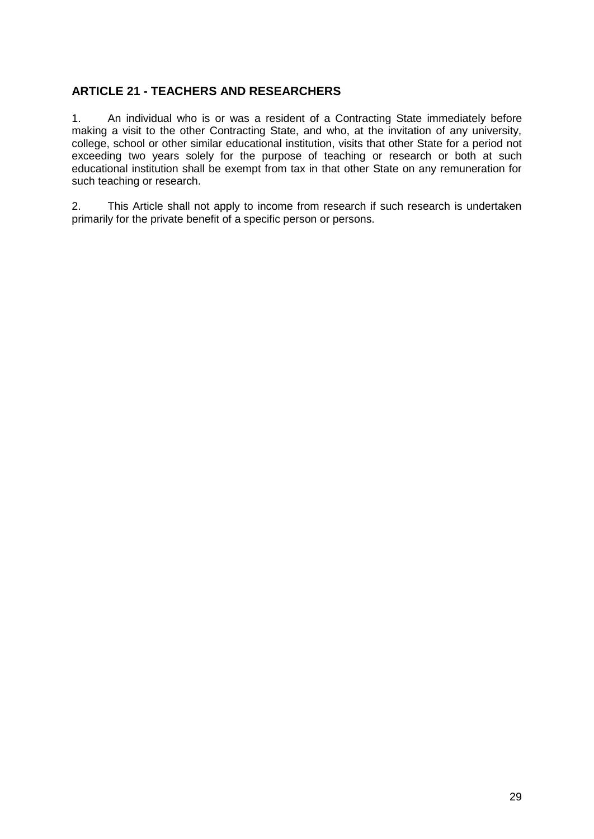## **ARTICLE 21 - TEACHERS AND RESEARCHERS**

1. An individual who is or was a resident of a Contracting State immediately before making a visit to the other Contracting State, and who, at the invitation of any university, college, school or other similar educational institution, visits that other State for a period not exceeding two years solely for the purpose of teaching or research or both at such educational institution shall be exempt from tax in that other State on any remuneration for such teaching or research.

2. This Article shall not apply to income from research if such research is undertaken primarily for the private benefit of a specific person or persons.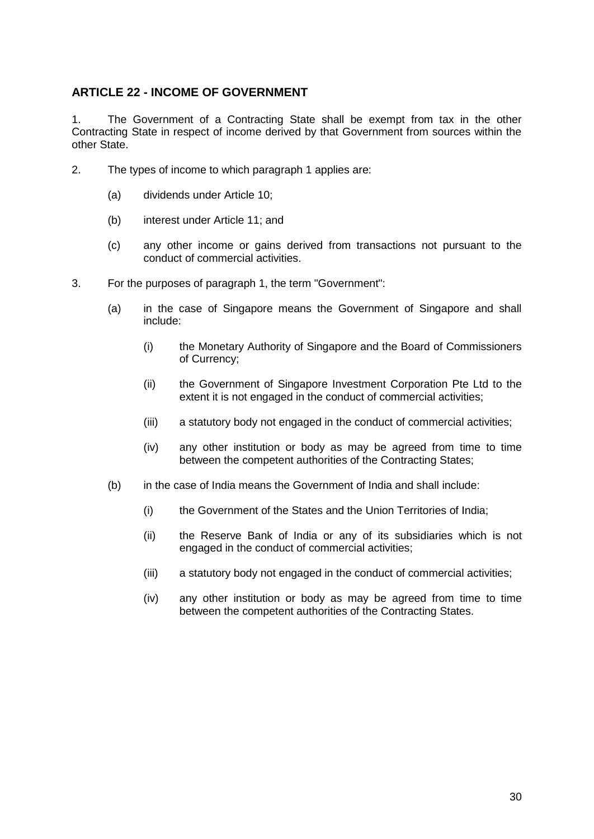#### **ARTICLE 22 - INCOME OF GOVERNMENT**

1. The Government of a Contracting State shall be exempt from tax in the other Contracting State in respect of income derived by that Government from sources within the other State.

- 2. The types of income to which paragraph 1 applies are:
	- (a) dividends under Article 10;
	- (b) interest under Article 11; and
	- (c) any other income or gains derived from transactions not pursuant to the conduct of commercial activities.
- 3. For the purposes of paragraph 1, the term "Government":
	- (a) in the case of Singapore means the Government of Singapore and shall include:
		- (i) the Monetary Authority of Singapore and the Board of Commissioners of Currency;
		- (ii) the Government of Singapore Investment Corporation Pte Ltd to the extent it is not engaged in the conduct of commercial activities;
		- (iii) a statutory body not engaged in the conduct of commercial activities;
		- (iv) any other institution or body as may be agreed from time to time between the competent authorities of the Contracting States;
	- (b) in the case of India means the Government of India and shall include:
		- (i) the Government of the States and the Union Territories of India;
		- (ii) the Reserve Bank of India or any of its subsidiaries which is not engaged in the conduct of commercial activities;
		- (iii) a statutory body not engaged in the conduct of commercial activities;
		- (iv) any other institution or body as may be agreed from time to time between the competent authorities of the Contracting States.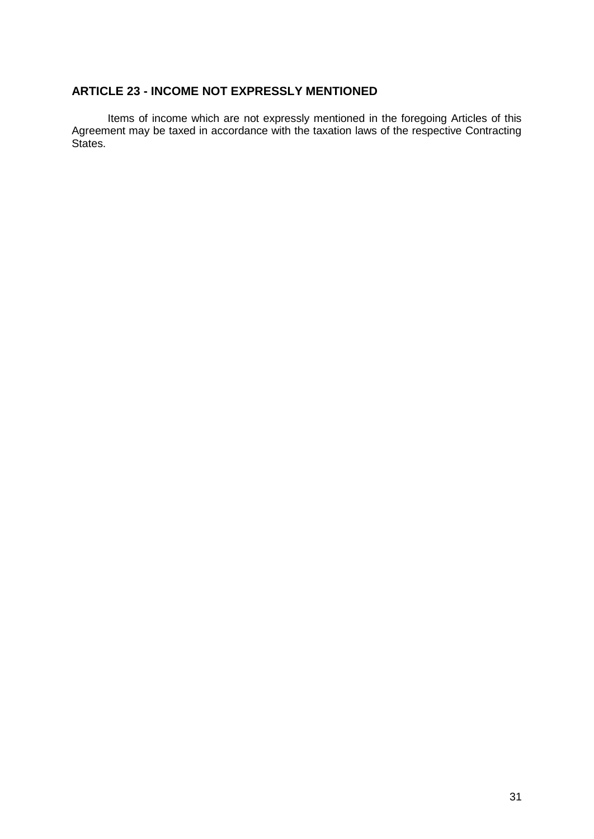## **ARTICLE 23 - INCOME NOT EXPRESSLY MENTIONED**

Items of income which are not expressly mentioned in the foregoing Articles of this Agreement may be taxed in accordance with the taxation laws of the respective Contracting States.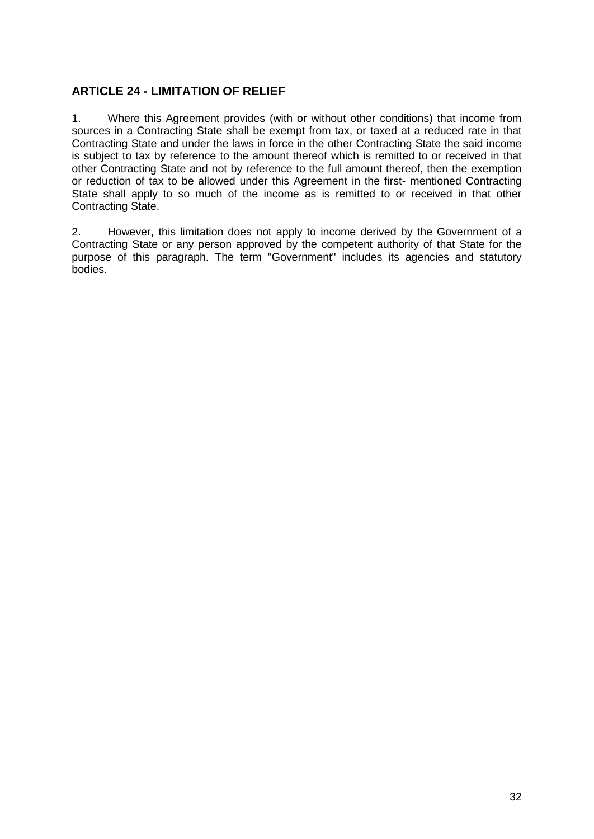# **ARTICLE 24 - LIMITATION OF RELIEF**

1. Where this Agreement provides (with or without other conditions) that income from sources in a Contracting State shall be exempt from tax, or taxed at a reduced rate in that Contracting State and under the laws in force in the other Contracting State the said income is subject to tax by reference to the amount thereof which is remitted to or received in that other Contracting State and not by reference to the full amount thereof, then the exemption or reduction of tax to be allowed under this Agreement in the first- mentioned Contracting State shall apply to so much of the income as is remitted to or received in that other Contracting State.

2. However, this limitation does not apply to income derived by the Government of a Contracting State or any person approved by the competent authority of that State for the purpose of this paragraph. The term "Government" includes its agencies and statutory bodies.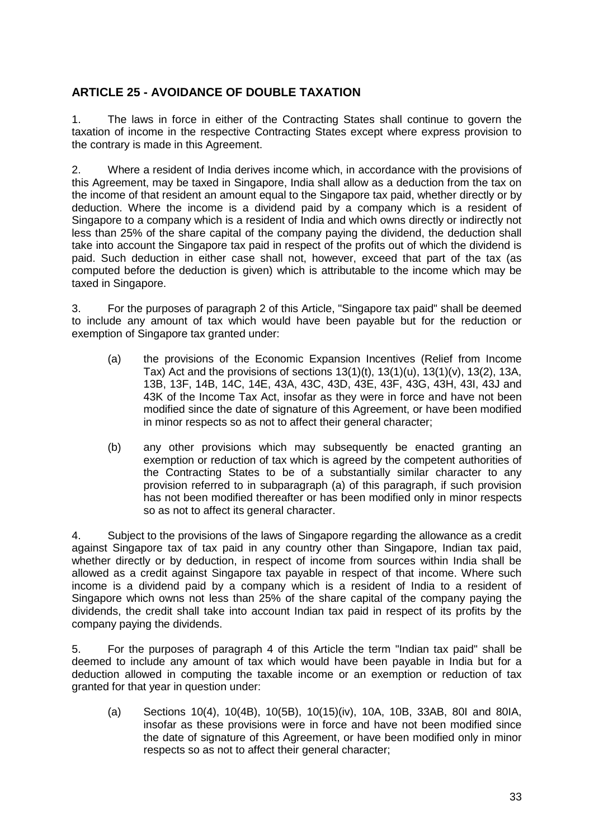## **ARTICLE 25 - AVOIDANCE OF DOUBLE TAXATION**

1. The laws in force in either of the Contracting States shall continue to govern the taxation of income in the respective Contracting States except where express provision to the contrary is made in this Agreement.

2. Where a resident of India derives income which, in accordance with the provisions of this Agreement, may be taxed in Singapore, India shall allow as a deduction from the tax on the income of that resident an amount equal to the Singapore tax paid, whether directly or by deduction. Where the income is a dividend paid by a company which is a resident of Singapore to a company which is a resident of India and which owns directly or indirectly not less than 25% of the share capital of the company paying the dividend, the deduction shall take into account the Singapore tax paid in respect of the profits out of which the dividend is paid. Such deduction in either case shall not, however, exceed that part of the tax (as computed before the deduction is given) which is attributable to the income which may be taxed in Singapore.

3. For the purposes of paragraph 2 of this Article, "Singapore tax paid" shall be deemed to include any amount of tax which would have been payable but for the reduction or exemption of Singapore tax granted under:

- (a) the provisions of the Economic Expansion Incentives (Relief from Income Tax) Act and the provisions of sections  $13(1)(t)$ ,  $13(1)(u)$ ,  $13(1)(v)$ ,  $13(2)$ ,  $13A$ , 13B, 13F, 14B, 14C, 14E, 43A, 43C, 43D, 43E, 43F, 43G, 43H, 43I, 43J and 43K of the Income Tax Act, insofar as they were in force and have not been modified since the date of signature of this Agreement, or have been modified in minor respects so as not to affect their general character;
- (b) any other provisions which may subsequently be enacted granting an exemption or reduction of tax which is agreed by the competent authorities of the Contracting States to be of a substantially similar character to any provision referred to in subparagraph (a) of this paragraph, if such provision has not been modified thereafter or has been modified only in minor respects so as not to affect its general character.

4. Subject to the provisions of the laws of Singapore regarding the allowance as a credit against Singapore tax of tax paid in any country other than Singapore, Indian tax paid, whether directly or by deduction, in respect of income from sources within India shall be allowed as a credit against Singapore tax payable in respect of that income. Where such income is a dividend paid by a company which is a resident of India to a resident of Singapore which owns not less than 25% of the share capital of the company paying the dividends, the credit shall take into account Indian tax paid in respect of its profits by the company paying the dividends.

5. For the purposes of paragraph 4 of this Article the term "Indian tax paid" shall be deemed to include any amount of tax which would have been payable in India but for a deduction allowed in computing the taxable income or an exemption or reduction of tax granted for that year in question under:

(a) Sections 10(4), 10(4B), 10(5B), 10(15)(iv), 10A, 10B, 33AB, 80I and 80IA, insofar as these provisions were in force and have not been modified since the date of signature of this Agreement, or have been modified only in minor respects so as not to affect their general character;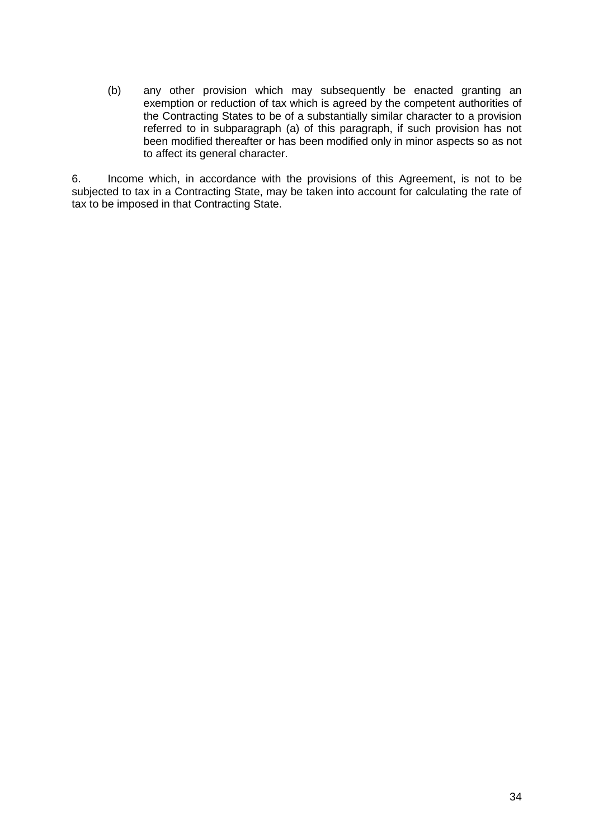(b) any other provision which may subsequently be enacted granting an exemption or reduction of tax which is agreed by the competent authorities of the Contracting States to be of a substantially similar character to a provision referred to in subparagraph (a) of this paragraph, if such provision has not been modified thereafter or has been modified only in minor aspects so as not to affect its general character.

6. Income which, in accordance with the provisions of this Agreement, is not to be subjected to tax in a Contracting State, may be taken into account for calculating the rate of tax to be imposed in that Contracting State.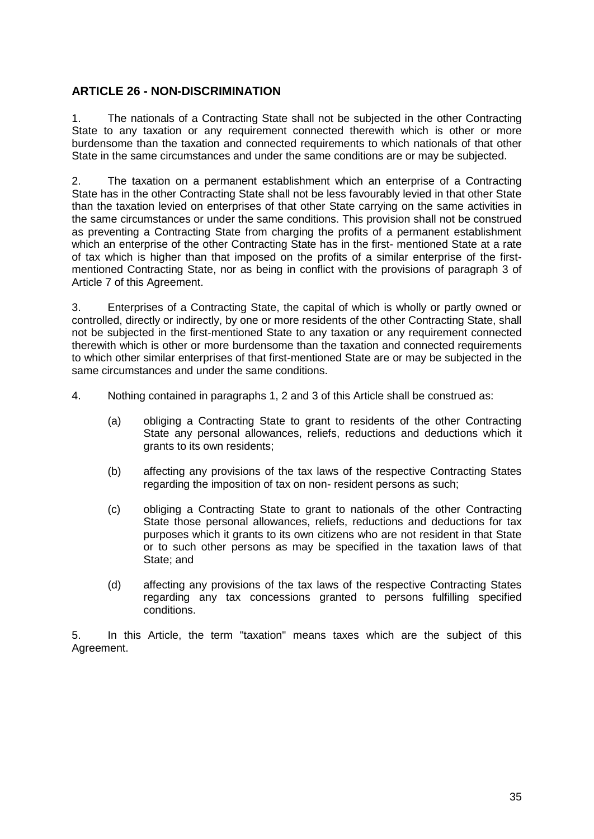## **ARTICLE 26 - NON-DISCRIMINATION**

1. The nationals of a Contracting State shall not be subjected in the other Contracting State to any taxation or any requirement connected therewith which is other or more burdensome than the taxation and connected requirements to which nationals of that other State in the same circumstances and under the same conditions are or may be subjected.

2. The taxation on a permanent establishment which an enterprise of a Contracting State has in the other Contracting State shall not be less favourably levied in that other State than the taxation levied on enterprises of that other State carrying on the same activities in the same circumstances or under the same conditions. This provision shall not be construed as preventing a Contracting State from charging the profits of a permanent establishment which an enterprise of the other Contracting State has in the first- mentioned State at a rate of tax which is higher than that imposed on the profits of a similar enterprise of the firstmentioned Contracting State, nor as being in conflict with the provisions of paragraph 3 of Article 7 of this Agreement.

3. Enterprises of a Contracting State, the capital of which is wholly or partly owned or controlled, directly or indirectly, by one or more residents of the other Contracting State, shall not be subjected in the first-mentioned State to any taxation or any requirement connected therewith which is other or more burdensome than the taxation and connected requirements to which other similar enterprises of that first-mentioned State are or may be subjected in the same circumstances and under the same conditions.

4. Nothing contained in paragraphs 1, 2 and 3 of this Article shall be construed as:

- (a) obliging a Contracting State to grant to residents of the other Contracting State any personal allowances, reliefs, reductions and deductions which it grants to its own residents;
- (b) affecting any provisions of the tax laws of the respective Contracting States regarding the imposition of tax on non- resident persons as such;
- (c) obliging a Contracting State to grant to nationals of the other Contracting State those personal allowances, reliefs, reductions and deductions for tax purposes which it grants to its own citizens who are not resident in that State or to such other persons as may be specified in the taxation laws of that State; and
- (d) affecting any provisions of the tax laws of the respective Contracting States regarding any tax concessions granted to persons fulfilling specified conditions.

5. In this Article, the term "taxation" means taxes which are the subject of this Agreement.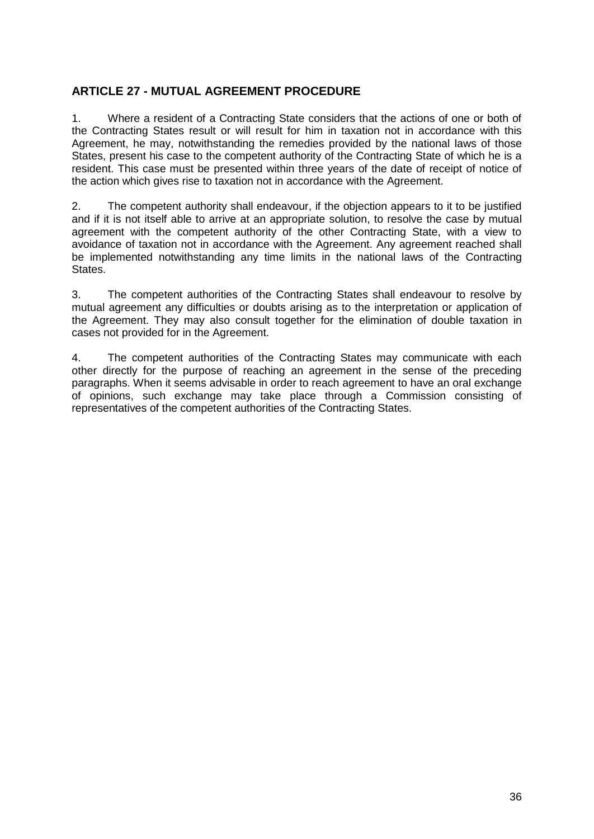# **ARTICLE 27 - MUTUAL AGREEMENT PROCEDURE**

1. Where a resident of a Contracting State considers that the actions of one or both of the Contracting States result or will result for him in taxation not in accordance with this Agreement, he may, notwithstanding the remedies provided by the national laws of those States, present his case to the competent authority of the Contracting State of which he is a resident. This case must be presented within three years of the date of receipt of notice of the action which gives rise to taxation not in accordance with the Agreement.

2. The competent authority shall endeavour, if the objection appears to it to be justified and if it is not itself able to arrive at an appropriate solution, to resolve the case by mutual agreement with the competent authority of the other Contracting State, with a view to avoidance of taxation not in accordance with the Agreement. Any agreement reached shall be implemented notwithstanding any time limits in the national laws of the Contracting States.

3. The competent authorities of the Contracting States shall endeavour to resolve by mutual agreement any difficulties or doubts arising as to the interpretation or application of the Agreement. They may also consult together for the elimination of double taxation in cases not provided for in the Agreement.

4. The competent authorities of the Contracting States may communicate with each other directly for the purpose of reaching an agreement in the sense of the preceding paragraphs. When it seems advisable in order to reach agreement to have an oral exchange of opinions, such exchange may take place through a Commission consisting of representatives of the competent authorities of the Contracting States.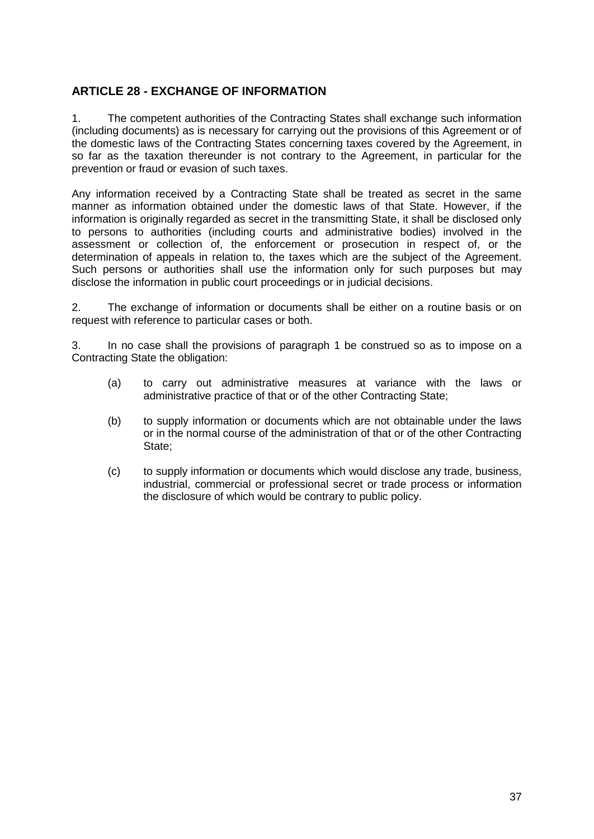## **ARTICLE 28 - EXCHANGE OF INFORMATION**

1. The competent authorities of the Contracting States shall exchange such information (including documents) as is necessary for carrying out the provisions of this Agreement or of the domestic laws of the Contracting States concerning taxes covered by the Agreement, in so far as the taxation thereunder is not contrary to the Agreement, in particular for the prevention or fraud or evasion of such taxes.

Any information received by a Contracting State shall be treated as secret in the same manner as information obtained under the domestic laws of that State. However, if the information is originally regarded as secret in the transmitting State, it shall be disclosed only to persons to authorities (including courts and administrative bodies) involved in the assessment or collection of, the enforcement or prosecution in respect of, or the determination of appeals in relation to, the taxes which are the subject of the Agreement. Such persons or authorities shall use the information only for such purposes but may disclose the information in public court proceedings or in judicial decisions.

2. The exchange of information or documents shall be either on a routine basis or on request with reference to particular cases or both.

3. In no case shall the provisions of paragraph 1 be construed so as to impose on a Contracting State the obligation:

- (a) to carry out administrative measures at variance with the laws or administrative practice of that or of the other Contracting State;
- (b) to supply information or documents which are not obtainable under the laws or in the normal course of the administration of that or of the other Contracting State;
- (c) to supply information or documents which would disclose any trade, business, industrial, commercial or professional secret or trade process or information the disclosure of which would be contrary to public policy.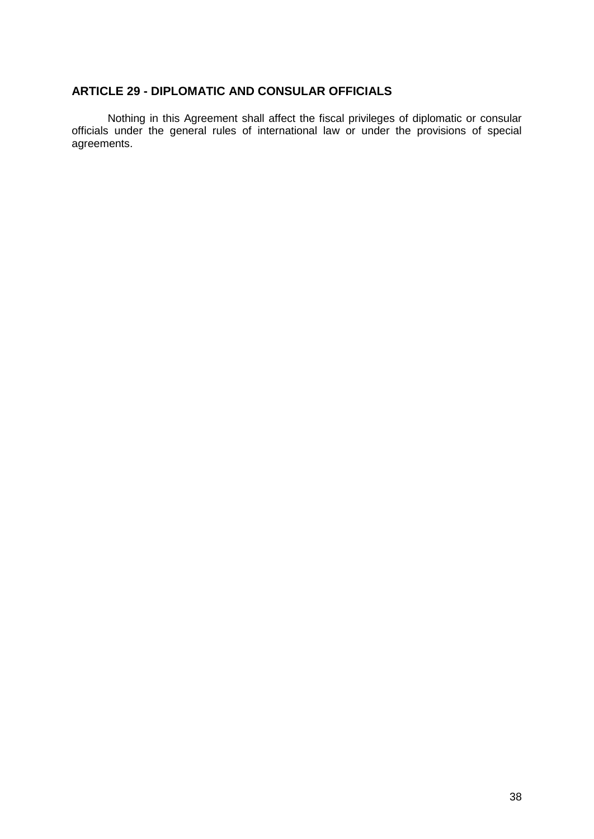## **ARTICLE 29 - DIPLOMATIC AND CONSULAR OFFICIALS**

Nothing in this Agreement shall affect the fiscal privileges of diplomatic or consular officials under the general rules of international law or under the provisions of special agreements.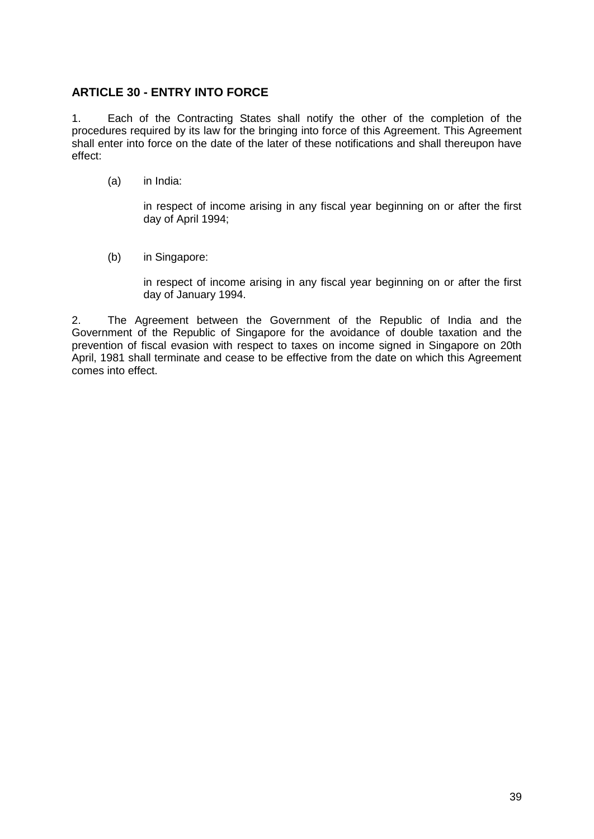## **ARTICLE 30 - ENTRY INTO FORCE**

1. Each of the Contracting States shall notify the other of the completion of the procedures required by its law for the bringing into force of this Agreement. This Agreement shall enter into force on the date of the later of these notifications and shall thereupon have effect:

(a) in India:

in respect of income arising in any fiscal year beginning on or after the first day of April 1994;

(b) in Singapore:

in respect of income arising in any fiscal year beginning on or after the first day of January 1994.

2. The Agreement between the Government of the Republic of India and the Government of the Republic of Singapore for the avoidance of double taxation and the prevention of fiscal evasion with respect to taxes on income signed in Singapore on 20th April, 1981 shall terminate and cease to be effective from the date on which this Agreement comes into effect.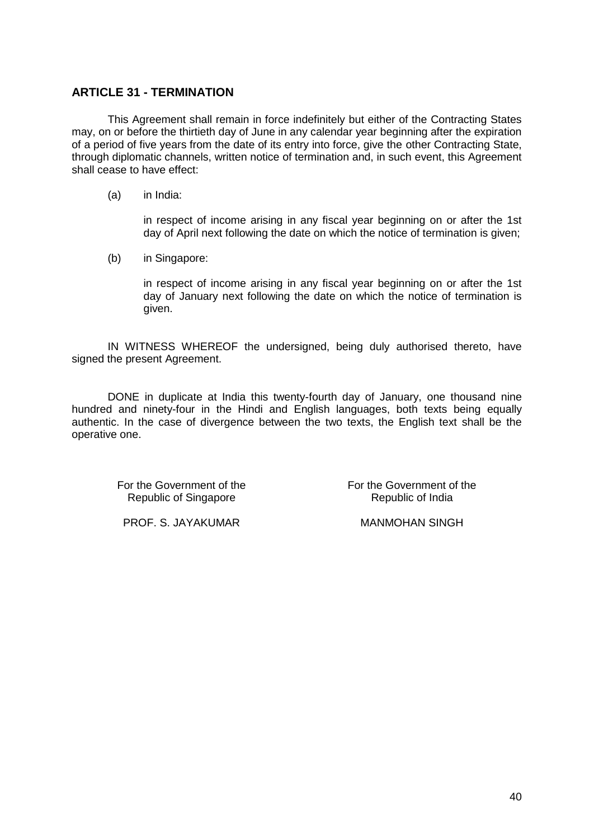#### **ARTICLE 31 - TERMINATION**

This Agreement shall remain in force indefinitely but either of the Contracting States may, on or before the thirtieth day of June in any calendar year beginning after the expiration of a period of five years from the date of its entry into force, give the other Contracting State, through diplomatic channels, written notice of termination and, in such event, this Agreement shall cease to have effect:

(a) in India:

in respect of income arising in any fiscal year beginning on or after the 1st day of April next following the date on which the notice of termination is given;

(b) in Singapore:

in respect of income arising in any fiscal year beginning on or after the 1st day of January next following the date on which the notice of termination is given.

IN WITNESS WHEREOF the undersigned, being duly authorised thereto, have signed the present Agreement.

DONE in duplicate at India this twenty-fourth day of January, one thousand nine hundred and ninety-four in the Hindi and English languages, both texts being equally authentic. In the case of divergence between the two texts, the English text shall be the operative one.

> For the Government of the Republic of Singapore

PROF. S. JAYAKUMAR MANMOHAN SINGH

For the Government of the Republic of India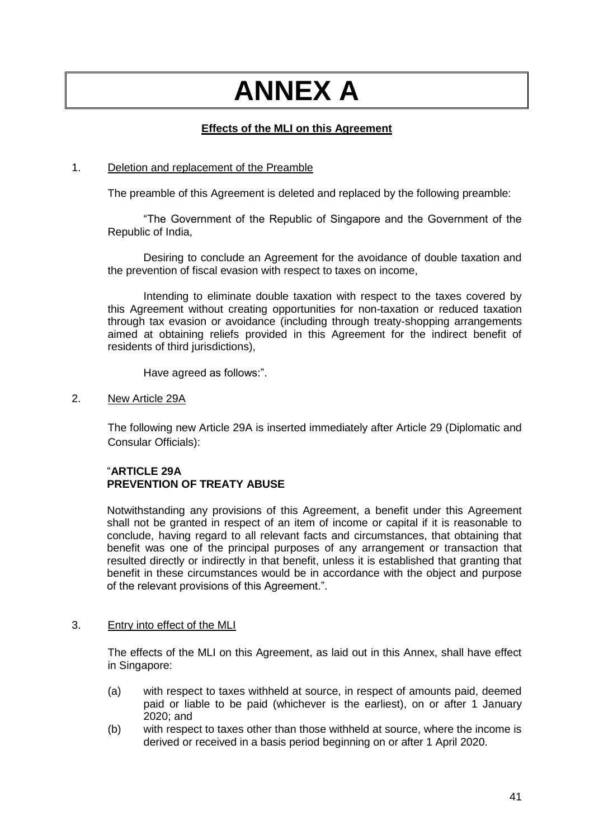# **ANNEX A**

# **Effects of the MLI on this Agreement**

#### 1. Deletion and replacement of the Preamble

The preamble of this Agreement is deleted and replaced by the following preamble:

"The Government of the Republic of Singapore and the Government of the Republic of India,

Desiring to conclude an Agreement for the avoidance of double taxation and the prevention of fiscal evasion with respect to taxes on income,

Intending to eliminate double taxation with respect to the taxes covered by this Agreement without creating opportunities for non-taxation or reduced taxation through tax evasion or avoidance (including through treaty-shopping arrangements aimed at obtaining reliefs provided in this Agreement for the indirect benefit of residents of third jurisdictions),

Have agreed as follows:".

#### 2. New Article 29A

The following new Article 29A is inserted immediately after Article 29 (Diplomatic and Consular Officials):

#### "**ARTICLE 29A PREVENTION OF TREATY ABUSE**

Notwithstanding any provisions of this Agreement, a benefit under this Agreement shall not be granted in respect of an item of income or capital if it is reasonable to conclude, having regard to all relevant facts and circumstances, that obtaining that benefit was one of the principal purposes of any arrangement or transaction that resulted directly or indirectly in that benefit, unless it is established that granting that benefit in these circumstances would be in accordance with the object and purpose of the relevant provisions of this Agreement.".

#### 3. Entry into effect of the MLI

The effects of the MLI on this Agreement, as laid out in this Annex, shall have effect in Singapore:

- (a) with respect to taxes withheld at source, in respect of amounts paid, deemed paid or liable to be paid (whichever is the earliest), on or after 1 January 2020; and
- (b) with respect to taxes other than those withheld at source, where the income is derived or received in a basis period beginning on or after 1 April 2020.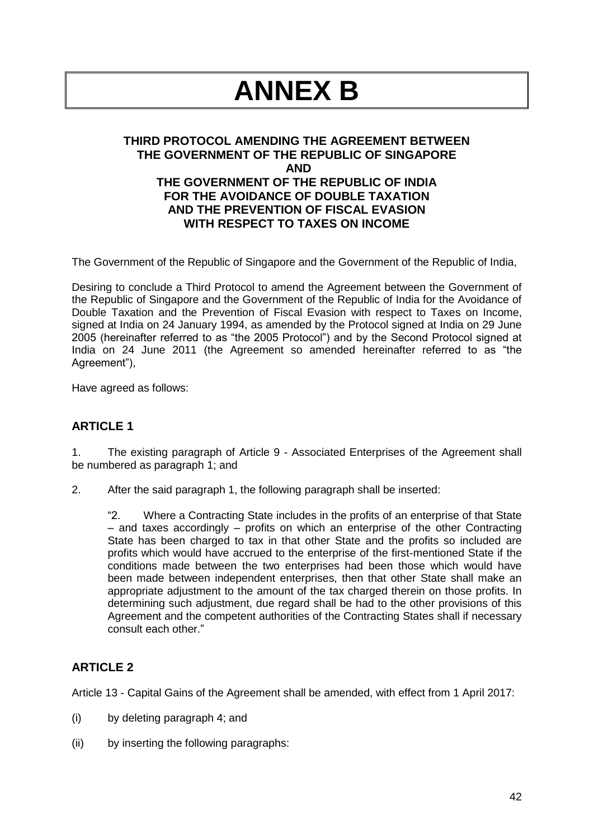# **ANNEX B**

#### **THIRD PROTOCOL AMENDING THE AGREEMENT BETWEEN THE GOVERNMENT OF THE REPUBLIC OF SINGAPORE AND THE GOVERNMENT OF THE REPUBLIC OF INDIA FOR THE AVOIDANCE OF DOUBLE TAXATION AND THE PREVENTION OF FISCAL EVASION WITH RESPECT TO TAXES ON INCOME**

The Government of the Republic of Singapore and the Government of the Republic of India,

Desiring to conclude a Third Protocol to amend the Agreement between the Government of the Republic of Singapore and the Government of the Republic of India for the Avoidance of Double Taxation and the Prevention of Fiscal Evasion with respect to Taxes on Income, signed at India on 24 January 1994, as amended by the Protocol signed at India on 29 June 2005 (hereinafter referred to as "the 2005 Protocol") and by the Second Protocol signed at India on 24 June 2011 (the Agreement so amended hereinafter referred to as "the Agreement"),

Have agreed as follows:

### **ARTICLE 1**

1. The existing paragraph of Article 9 - Associated Enterprises of the Agreement shall be numbered as paragraph 1; and

2. After the said paragraph 1, the following paragraph shall be inserted:

"2. Where a Contracting State includes in the profits of an enterprise of that State – and taxes accordingly – profits on which an enterprise of the other Contracting State has been charged to tax in that other State and the profits so included are profits which would have accrued to the enterprise of the first-mentioned State if the conditions made between the two enterprises had been those which would have been made between independent enterprises, then that other State shall make an appropriate adjustment to the amount of the tax charged therein on those profits. In determining such adjustment, due regard shall be had to the other provisions of this Agreement and the competent authorities of the Contracting States shall if necessary consult each other."

### **ARTICLE 2**

Article 13 - Capital Gains of the Agreement shall be amended, with effect from 1 April 2017:

- (i) by deleting paragraph 4; and
- (ii) by inserting the following paragraphs: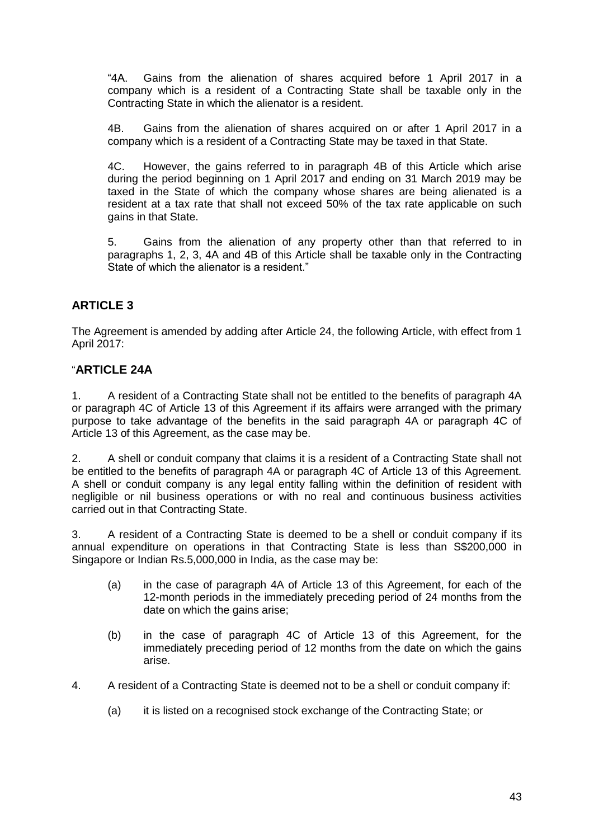"4A. Gains from the alienation of shares acquired before 1 April 2017 in a company which is a resident of a Contracting State shall be taxable only in the Contracting State in which the alienator is a resident.

4B. Gains from the alienation of shares acquired on or after 1 April 2017 in a company which is a resident of a Contracting State may be taxed in that State.

4C. However, the gains referred to in paragraph 4B of this Article which arise during the period beginning on 1 April 2017 and ending on 31 March 2019 may be taxed in the State of which the company whose shares are being alienated is a resident at a tax rate that shall not exceed 50% of the tax rate applicable on such gains in that State.

5. Gains from the alienation of any property other than that referred to in paragraphs 1, 2, 3, 4A and 4B of this Article shall be taxable only in the Contracting State of which the alienator is a resident."

# **ARTICLE 3**

The Agreement is amended by adding after Article 24, the following Article, with effect from 1 April 2017:

## "**ARTICLE 24A**

1. A resident of a Contracting State shall not be entitled to the benefits of paragraph 4A or paragraph 4C of Article 13 of this Agreement if its affairs were arranged with the primary purpose to take advantage of the benefits in the said paragraph 4A or paragraph 4C of Article 13 of this Agreement, as the case may be.

2. A shell or conduit company that claims it is a resident of a Contracting State shall not be entitled to the benefits of paragraph 4A or paragraph 4C of Article 13 of this Agreement. A shell or conduit company is any legal entity falling within the definition of resident with negligible or nil business operations or with no real and continuous business activities carried out in that Contracting State.

3. A resident of a Contracting State is deemed to be a shell or conduit company if its annual expenditure on operations in that Contracting State is less than S\$200,000 in Singapore or Indian Rs.5,000,000 in India, as the case may be:

- (a) in the case of paragraph 4A of Article 13 of this Agreement, for each of the 12-month periods in the immediately preceding period of 24 months from the date on which the gains arise;
- (b) in the case of paragraph 4C of Article 13 of this Agreement, for the immediately preceding period of 12 months from the date on which the gains arise.
- 4. A resident of a Contracting State is deemed not to be a shell or conduit company if:
	- (a) it is listed on a recognised stock exchange of the Contracting State; or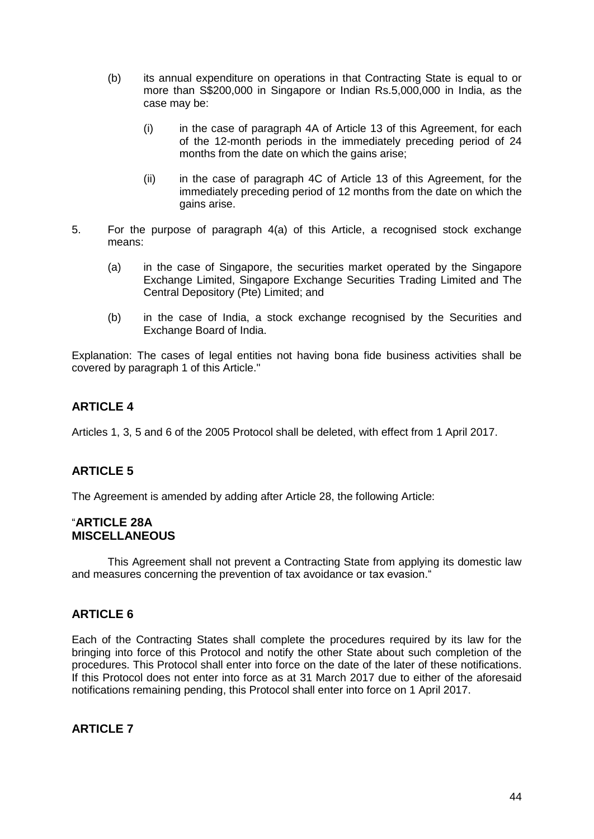- (b) its annual expenditure on operations in that Contracting State is equal to or more than S\$200,000 in Singapore or Indian Rs.5,000,000 in India, as the case may be:
	- (i) in the case of paragraph 4A of Article 13 of this Agreement, for each of the 12-month periods in the immediately preceding period of 24 months from the date on which the gains arise;
	- (ii) in the case of paragraph 4C of Article 13 of this Agreement, for the immediately preceding period of 12 months from the date on which the gains arise.
- 5. For the purpose of paragraph 4(a) of this Article, a recognised stock exchange means:
	- (a) in the case of Singapore, the securities market operated by the Singapore Exchange Limited, Singapore Exchange Securities Trading Limited and The Central Depository (Pte) Limited; and
	- (b) in the case of India, a stock exchange recognised by the Securities and Exchange Board of India.

Explanation: The cases of legal entities not having bona fide business activities shall be covered by paragraph 1 of this Article."

#### **ARTICLE 4**

Articles 1, 3, 5 and 6 of the 2005 Protocol shall be deleted, with effect from 1 April 2017.

### **ARTICLE 5**

The Agreement is amended by adding after Article 28, the following Article:

#### "**ARTICLE 28A MISCELLANEOUS**

This Agreement shall not prevent a Contracting State from applying its domestic law and measures concerning the prevention of tax avoidance or tax evasion."

#### **ARTICLE 6**

Each of the Contracting States shall complete the procedures required by its law for the bringing into force of this Protocol and notify the other State about such completion of the procedures. This Protocol shall enter into force on the date of the later of these notifications. If this Protocol does not enter into force as at 31 March 2017 due to either of the aforesaid notifications remaining pending, this Protocol shall enter into force on 1 April 2017.

### **ARTICLE 7**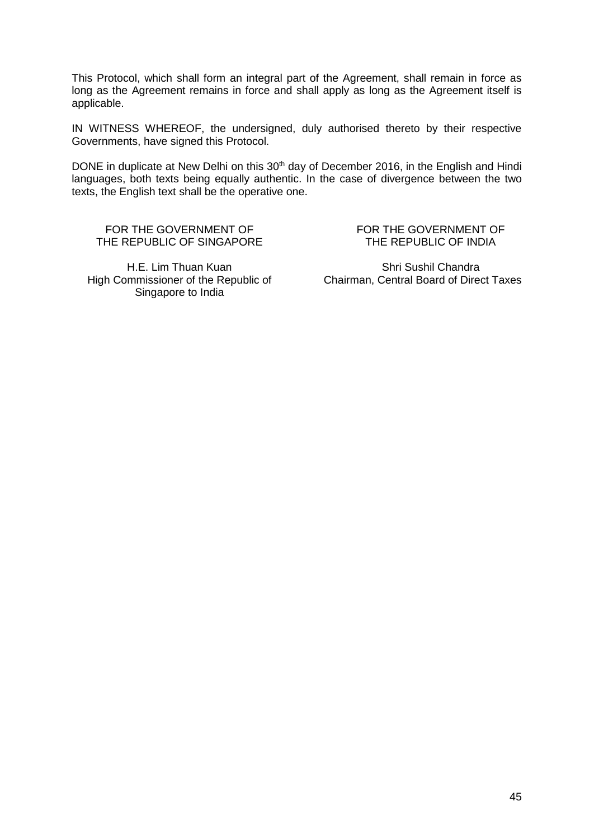This Protocol, which shall form an integral part of the Agreement, shall remain in force as long as the Agreement remains in force and shall apply as long as the Agreement itself is applicable.

IN WITNESS WHEREOF, the undersigned, duly authorised thereto by their respective Governments, have signed this Protocol.

DONE in duplicate at New Delhi on this 30<sup>th</sup> day of December 2016, in the English and Hindi languages, both texts being equally authentic. In the case of divergence between the two texts, the English text shall be the operative one.

FOR THE GOVERNMENT OF FOR THE GOVERNMENT OF FOR THE GOVERNMENT OF FOR THE REPUBLIC OF INDIA THE REPUBLIC OF SINGAPORE

Singapore to India

H.E. Lim Thuan Kuan Shri Sushil Chandra High Commissioner of the Republic of Chairman, Central Board of Direct Taxes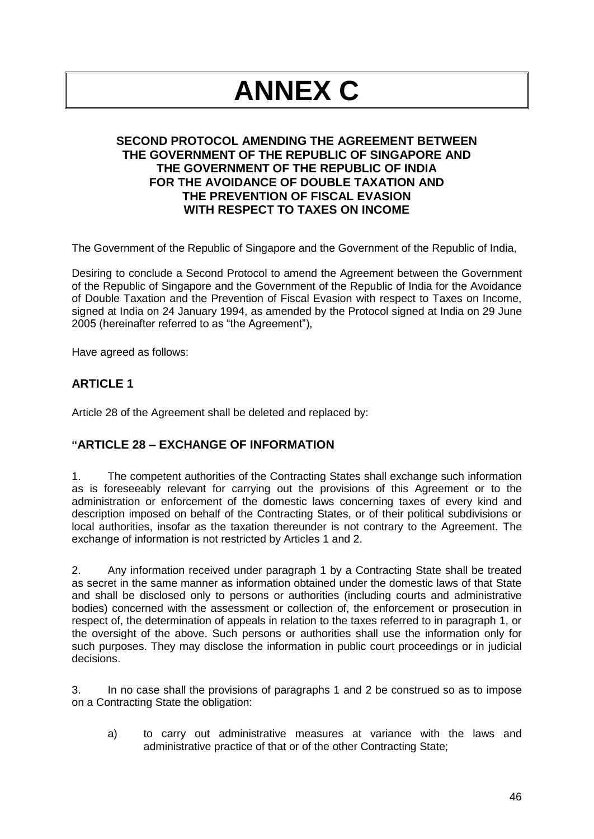# **ANNEX C**

## **SECOND PROTOCOL AMENDING THE AGREEMENT BETWEEN THE GOVERNMENT OF THE REPUBLIC OF SINGAPORE AND THE GOVERNMENT OF THE REPUBLIC OF INDIA FOR THE AVOIDANCE OF DOUBLE TAXATION AND THE PREVENTION OF FISCAL EVASION WITH RESPECT TO TAXES ON INCOME**

The Government of the Republic of Singapore and the Government of the Republic of India,

Desiring to conclude a Second Protocol to amend the Agreement between the Government of the Republic of Singapore and the Government of the Republic of India for the Avoidance of Double Taxation and the Prevention of Fiscal Evasion with respect to Taxes on Income, signed at India on 24 January 1994, as amended by the Protocol signed at India on 29 June 2005 (hereinafter referred to as "the Agreement"),

Have agreed as follows:

# **ARTICLE 1**

Article 28 of the Agreement shall be deleted and replaced by:

# **"ARTICLE 28 – EXCHANGE OF INFORMATION**

1. The competent authorities of the Contracting States shall exchange such information as is foreseeably relevant for carrying out the provisions of this Agreement or to the administration or enforcement of the domestic laws concerning taxes of every kind and description imposed on behalf of the Contracting States, or of their political subdivisions or local authorities, insofar as the taxation thereunder is not contrary to the Agreement. The exchange of information is not restricted by Articles 1 and 2.

2. Any information received under paragraph 1 by a Contracting State shall be treated as secret in the same manner as information obtained under the domestic laws of that State and shall be disclosed only to persons or authorities (including courts and administrative bodies) concerned with the assessment or collection of, the enforcement or prosecution in respect of, the determination of appeals in relation to the taxes referred to in paragraph 1, or the oversight of the above. Such persons or authorities shall use the information only for such purposes. They may disclose the information in public court proceedings or in judicial decisions.

3. In no case shall the provisions of paragraphs 1 and 2 be construed so as to impose on a Contracting State the obligation:

a) to carry out administrative measures at variance with the laws and administrative practice of that or of the other Contracting State;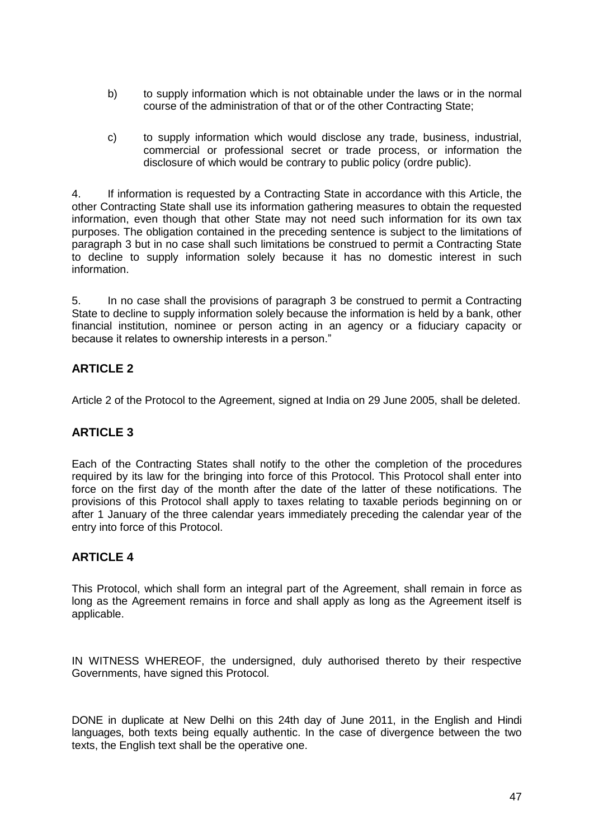- b) to supply information which is not obtainable under the laws or in the normal course of the administration of that or of the other Contracting State;
- c) to supply information which would disclose any trade, business, industrial, commercial or professional secret or trade process, or information the disclosure of which would be contrary to public policy (ordre public).

4. If information is requested by a Contracting State in accordance with this Article, the other Contracting State shall use its information gathering measures to obtain the requested information, even though that other State may not need such information for its own tax purposes. The obligation contained in the preceding sentence is subject to the limitations of paragraph 3 but in no case shall such limitations be construed to permit a Contracting State to decline to supply information solely because it has no domestic interest in such information.

5. In no case shall the provisions of paragraph 3 be construed to permit a Contracting State to decline to supply information solely because the information is held by a bank, other financial institution, nominee or person acting in an agency or a fiduciary capacity or because it relates to ownership interests in a person."

# **ARTICLE 2**

Article 2 of the Protocol to the Agreement, signed at India on 29 June 2005, shall be deleted.

### **ARTICLE 3**

Each of the Contracting States shall notify to the other the completion of the procedures required by its law for the bringing into force of this Protocol. This Protocol shall enter into force on the first day of the month after the date of the latter of these notifications. The provisions of this Protocol shall apply to taxes relating to taxable periods beginning on or after 1 January of the three calendar years immediately preceding the calendar year of the entry into force of this Protocol.

### **ARTICLE 4**

This Protocol, which shall form an integral part of the Agreement, shall remain in force as long as the Agreement remains in force and shall apply as long as the Agreement itself is applicable.

IN WITNESS WHEREOF, the undersigned, duly authorised thereto by their respective Governments, have signed this Protocol.

DONE in duplicate at New Delhi on this 24th day of June 2011, in the English and Hindi languages, both texts being equally authentic. In the case of divergence between the two texts, the English text shall be the operative one.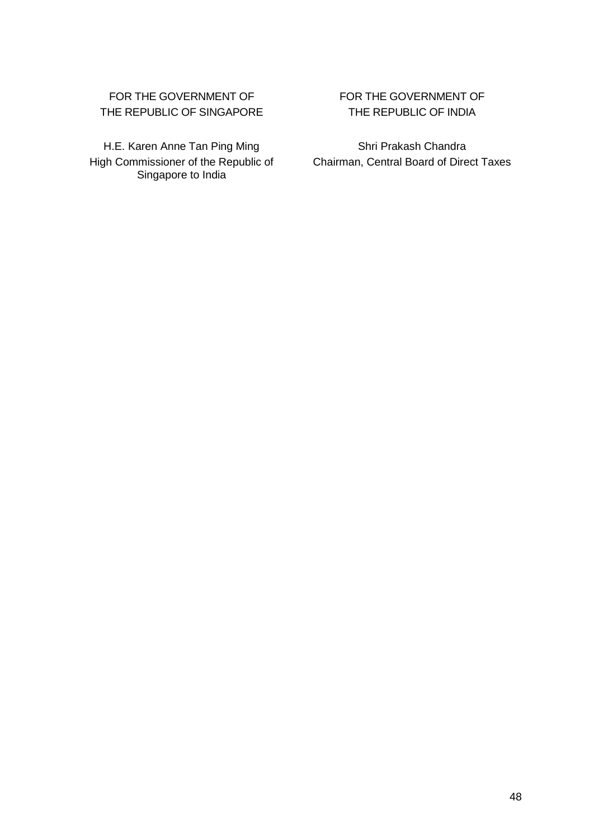## FOR THE GOVERNMENT OF THE REPUBLIC OF SINGAPORE

H.E. Karen Anne Tan Ping Ming High Commissioner of the Republic of Singapore to India

## FOR THE GOVERNMENT OF THE REPUBLIC OF INDIA

Shri Prakash Chandra Chairman, Central Board of Direct Taxes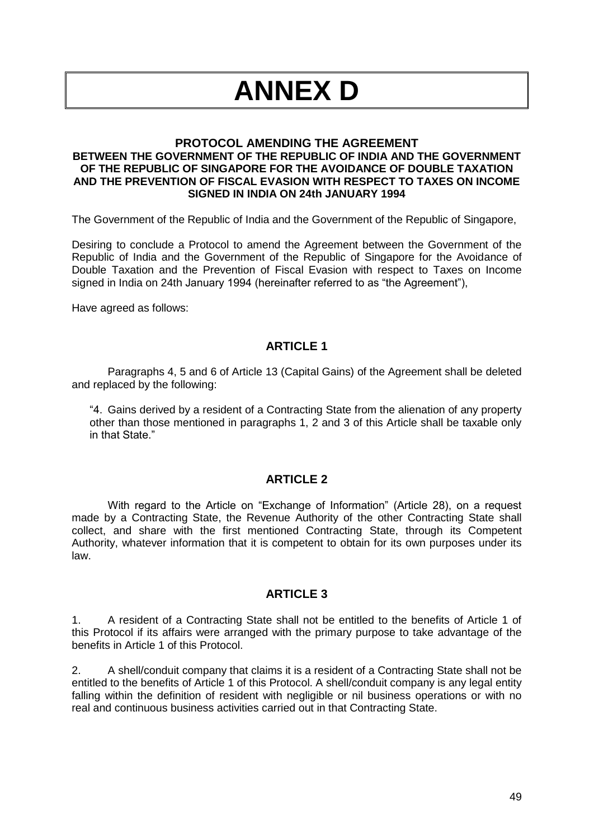# **ANNEX D**

# **PROTOCOL AMENDING THE AGREEMENT**

#### **BETWEEN THE GOVERNMENT OF THE REPUBLIC OF INDIA AND THE GOVERNMENT OF THE REPUBLIC OF SINGAPORE FOR THE AVOIDANCE OF DOUBLE TAXATION AND THE PREVENTION OF FISCAL EVASION WITH RESPECT TO TAXES ON INCOME SIGNED IN INDIA ON 24th JANUARY 1994**

The Government of the Republic of India and the Government of the Republic of Singapore,

Desiring to conclude a Protocol to amend the Agreement between the Government of the Republic of India and the Government of the Republic of Singapore for the Avoidance of Double Taxation and the Prevention of Fiscal Evasion with respect to Taxes on Income signed in India on 24th January 1994 (hereinafter referred to as "the Agreement"),

Have agreed as follows:

# **ARTICLE 1**

Paragraphs 4, 5 and 6 of Article 13 (Capital Gains) of the Agreement shall be deleted and replaced by the following:

"4. Gains derived by a resident of a Contracting State from the alienation of any property other than those mentioned in paragraphs 1, 2 and 3 of this Article shall be taxable only in that State."

# **ARTICLE 2**

With regard to the Article on "Exchange of Information" (Article 28), on a request made by a Contracting State, the Revenue Authority of the other Contracting State shall collect, and share with the first mentioned Contracting State, through its Competent Authority, whatever information that it is competent to obtain for its own purposes under its law.

# **ARTICLE 3**

1. A resident of a Contracting State shall not be entitled to the benefits of Article 1 of this Protocol if its affairs were arranged with the primary purpose to take advantage of the benefits in Article 1 of this Protocol.

2. A shell/conduit company that claims it is a resident of a Contracting State shall not be entitled to the benefits of Article 1 of this Protocol. A shell/conduit company is any legal entity falling within the definition of resident with negligible or nil business operations or with no real and continuous business activities carried out in that Contracting State.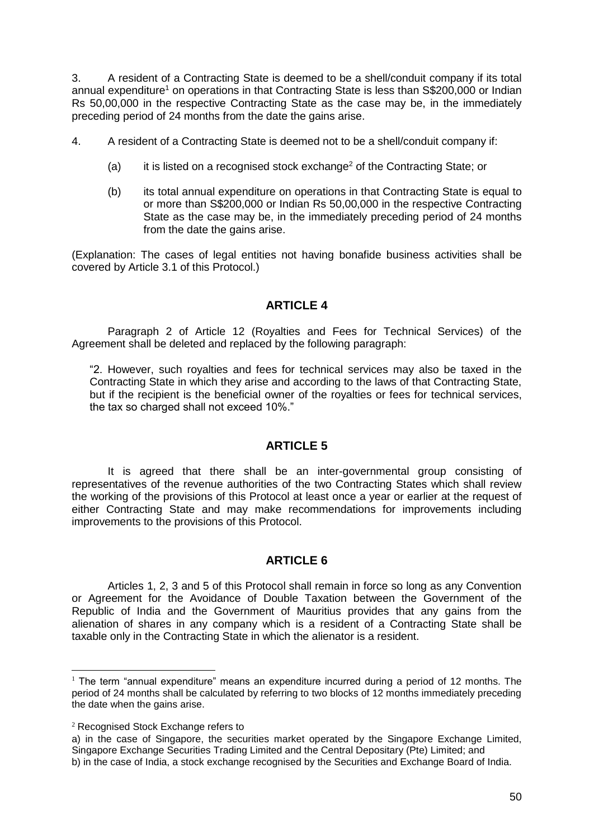3. A resident of a Contracting State is deemed to be a shell/conduit company if its total annual expenditure<sup>1</sup> on operations in that Contracting State is less than S\$200,000 or Indian Rs 50,00,000 in the respective Contracting State as the case may be, in the immediately preceding period of 24 months from the date the gains arise.

4. A resident of a Contracting State is deemed not to be a shell/conduit company if:

- (a) it is listed on a recognised stock exchange<sup>2</sup> of the Contracting State; or
- (b) its total annual expenditure on operations in that Contracting State is equal to or more than S\$200,000 or Indian Rs 50,00,000 in the respective Contracting State as the case may be, in the immediately preceding period of 24 months from the date the gains arise.

(Explanation: The cases of legal entities not having bonafide business activities shall be covered by Article 3.1 of this Protocol.)

### **ARTICLE 4**

Paragraph 2 of Article 12 (Royalties and Fees for Technical Services) of the Agreement shall be deleted and replaced by the following paragraph:

"2. However, such royalties and fees for technical services may also be taxed in the Contracting State in which they arise and according to the laws of that Contracting State, but if the recipient is the beneficial owner of the royalties or fees for technical services, the tax so charged shall not exceed 10%."

### **ARTICLE 5**

It is agreed that there shall be an inter-governmental group consisting of representatives of the revenue authorities of the two Contracting States which shall review the working of the provisions of this Protocol at least once a year or earlier at the request of either Contracting State and may make recommendations for improvements including improvements to the provisions of this Protocol.

### **ARTICLE 6**

Articles 1, 2, 3 and 5 of this Protocol shall remain in force so long as any Convention or Agreement for the Avoidance of Double Taxation between the Government of the Republic of India and the Government of Mauritius provides that any gains from the alienation of shares in any company which is a resident of a Contracting State shall be taxable only in the Contracting State in which the alienator is a resident.

<sup>-</sup> $1$  The term "annual expenditure" means an expenditure incurred during a period of 12 months. The period of 24 months shall be calculated by referring to two blocks of 12 months immediately preceding the date when the gains arise.

<sup>2</sup> Recognised Stock Exchange refers to

a) in the case of Singapore, the securities market operated by the Singapore Exchange Limited, Singapore Exchange Securities Trading Limited and the Central Depositary (Pte) Limited; and b) in the case of India, a stock exchange recognised by the Securities and Exchange Board of India.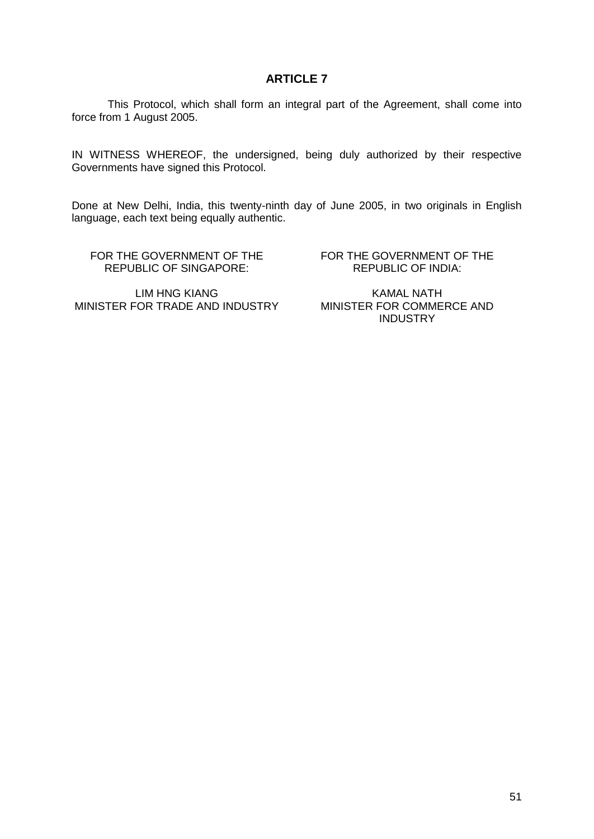#### **ARTICLE 7**

This Protocol, which shall form an integral part of the Agreement, shall come into force from 1 August 2005.

IN WITNESS WHEREOF, the undersigned, being duly authorized by their respective Governments have signed this Protocol.

Done at New Delhi, India, this twenty-ninth day of June 2005, in two originals in English language, each text being equally authentic.

FOR THE GOVERNMENT OF THE REPUBLIC OF SINGAPORE:

FOR THE GOVERNMENT OF THE REPUBLIC OF INDIA:

LIM HNG KIANG MINISTER FOR TRADE AND INDUSTRY MINISTER FOR COMMERCE AND

KAMAL NATH INDUSTRY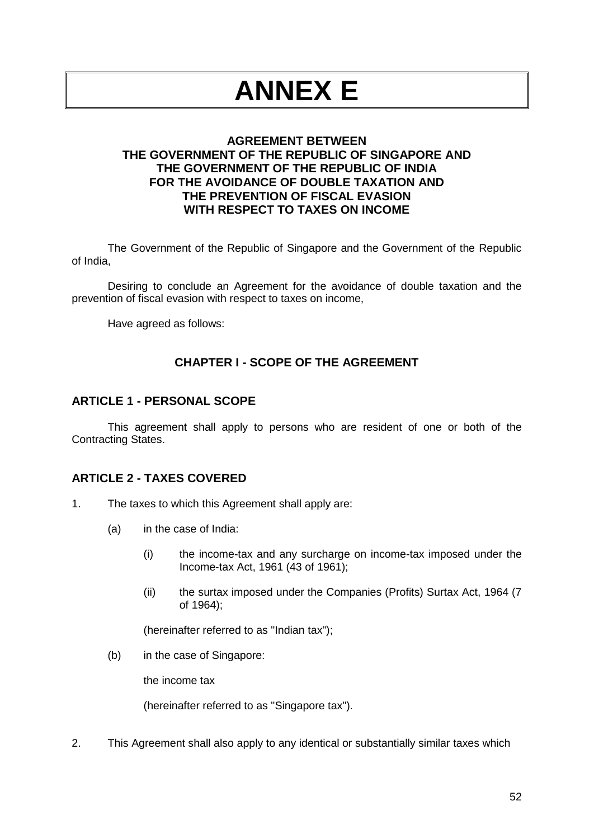# **ANNEX E**

### **AGREEMENT BETWEEN THE GOVERNMENT OF THE REPUBLIC OF SINGAPORE AND THE GOVERNMENT OF THE REPUBLIC OF INDIA FOR THE AVOIDANCE OF DOUBLE TAXATION AND THE PREVENTION OF FISCAL EVASION WITH RESPECT TO TAXES ON INCOME**

The Government of the Republic of Singapore and the Government of the Republic of India,

Desiring to conclude an Agreement for the avoidance of double taxation and the prevention of fiscal evasion with respect to taxes on income,

Have agreed as follows:

## **CHAPTER I - SCOPE OF THE AGREEMENT**

#### **ARTICLE 1 - PERSONAL SCOPE**

This agreement shall apply to persons who are resident of one or both of the Contracting States.

### **ARTICLE 2 - TAXES COVERED**

- 1. The taxes to which this Agreement shall apply are:
	- (a) in the case of India:
		- (i) the income-tax and any surcharge on income-tax imposed under the Income-tax Act, 1961 (43 of 1961);
		- (ii) the surtax imposed under the Companies (Profits) Surtax Act, 1964 (7 of 1964);

(hereinafter referred to as "Indian tax");

(b) in the case of Singapore:

the income tax

(hereinafter referred to as "Singapore tax").

2. This Agreement shall also apply to any identical or substantially similar taxes which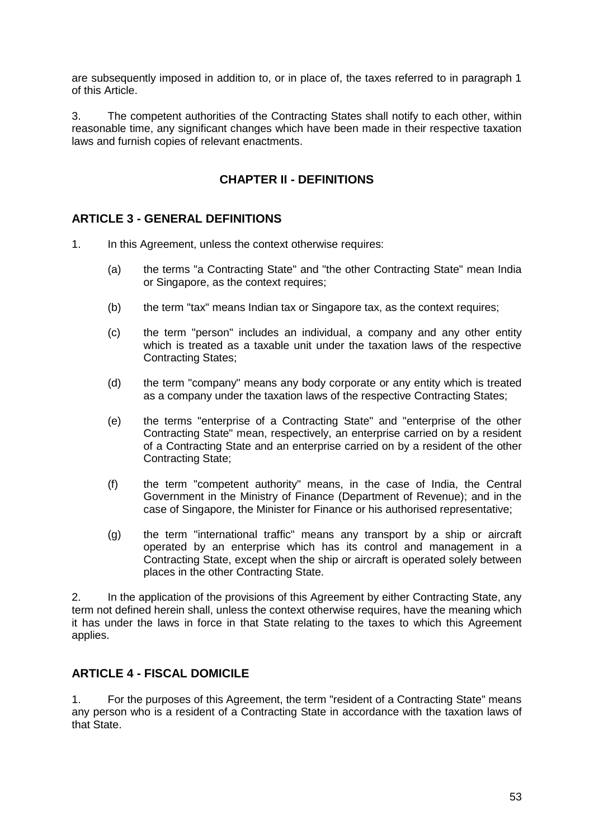are subsequently imposed in addition to, or in place of, the taxes referred to in paragraph 1 of this Article.

3. The competent authorities of the Contracting States shall notify to each other, within reasonable time, any significant changes which have been made in their respective taxation laws and furnish copies of relevant enactments.

## **CHAPTER II - DEFINITIONS**

## **ARTICLE 3 - GENERAL DEFINITIONS**

- 1. In this Agreement, unless the context otherwise requires:
	- (a) the terms "a Contracting State" and "the other Contracting State" mean India or Singapore, as the context requires;
	- (b) the term "tax" means Indian tax or Singapore tax, as the context requires;
	- (c) the term "person" includes an individual, a company and any other entity which is treated as a taxable unit under the taxation laws of the respective Contracting States;
	- (d) the term "company" means any body corporate or any entity which is treated as a company under the taxation laws of the respective Contracting States;
	- (e) the terms "enterprise of a Contracting State" and "enterprise of the other Contracting State" mean, respectively, an enterprise carried on by a resident of a Contracting State and an enterprise carried on by a resident of the other Contracting State;
	- (f) the term "competent authority" means, in the case of India, the Central Government in the Ministry of Finance (Department of Revenue); and in the case of Singapore, the Minister for Finance or his authorised representative;
	- (g) the term "international traffic" means any transport by a ship or aircraft operated by an enterprise which has its control and management in a Contracting State, except when the ship or aircraft is operated solely between places in the other Contracting State.

2. In the application of the provisions of this Agreement by either Contracting State, any term not defined herein shall, unless the context otherwise requires, have the meaning which it has under the laws in force in that State relating to the taxes to which this Agreement applies.

### **ARTICLE 4 - FISCAL DOMICILE**

1. For the purposes of this Agreement, the term "resident of a Contracting State" means any person who is a resident of a Contracting State in accordance with the taxation laws of that State.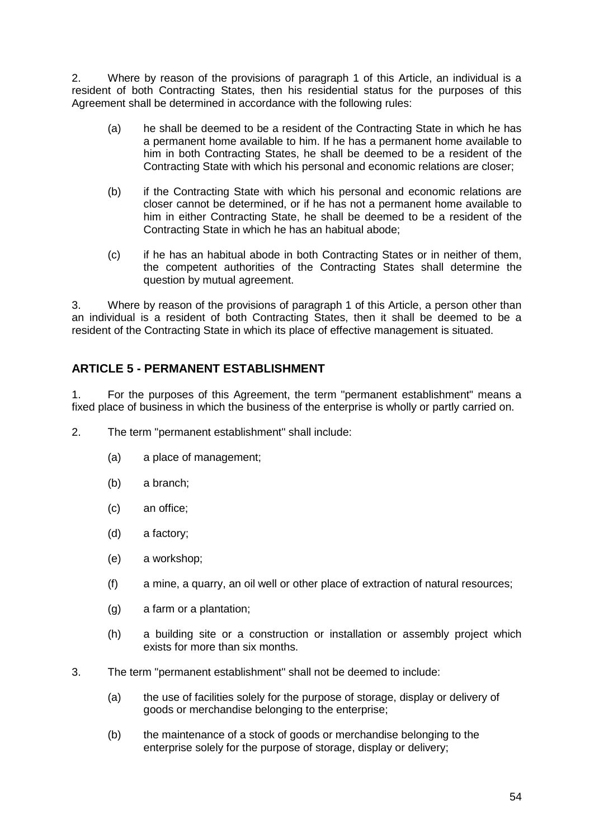2. Where by reason of the provisions of paragraph 1 of this Article, an individual is a resident of both Contracting States, then his residential status for the purposes of this Agreement shall be determined in accordance with the following rules:

- (a) he shall be deemed to be a resident of the Contracting State in which he has a permanent home available to him. If he has a permanent home available to him in both Contracting States, he shall be deemed to be a resident of the Contracting State with which his personal and economic relations are closer;
- (b) if the Contracting State with which his personal and economic relations are closer cannot be determined, or if he has not a permanent home available to him in either Contracting State, he shall be deemed to be a resident of the Contracting State in which he has an habitual abode;
- (c) if he has an habitual abode in both Contracting States or in neither of them, the competent authorities of the Contracting States shall determine the question by mutual agreement.

3. Where by reason of the provisions of paragraph 1 of this Article, a person other than an individual is a resident of both Contracting States, then it shall be deemed to be a resident of the Contracting State in which its place of effective management is situated.

# **ARTICLE 5 - PERMANENT ESTABLISHMENT**

1. For the purposes of this Agreement, the term "permanent establishment" means a fixed place of business in which the business of the enterprise is wholly or partly carried on.

- 2. The term "permanent establishment" shall include:
	- (a) a place of management;
	- (b) a branch;
	- (c) an office;
	- (d) a factory;
	- (e) a workshop;
	- (f) a mine, a quarry, an oil well or other place of extraction of natural resources;
	- (g) a farm or a plantation;
	- (h) a building site or a construction or installation or assembly project which exists for more than six months.
- 3. The term "permanent establishment" shall not be deemed to include:
	- (a) the use of facilities solely for the purpose of storage, display or delivery of goods or merchandise belonging to the enterprise;
	- (b) the maintenance of a stock of goods or merchandise belonging to the enterprise solely for the purpose of storage, display or delivery;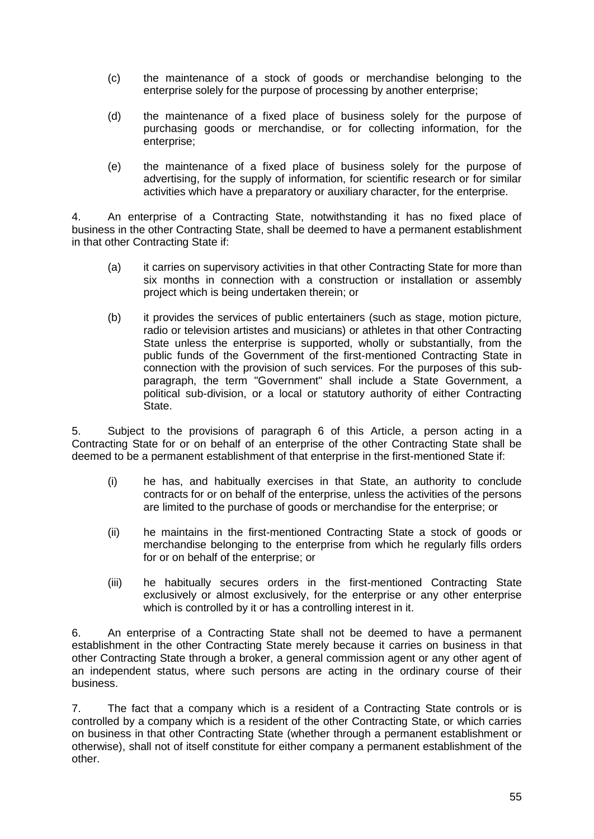- (c) the maintenance of a stock of goods or merchandise belonging to the enterprise solely for the purpose of processing by another enterprise;
- (d) the maintenance of a fixed place of business solely for the purpose of purchasing goods or merchandise, or for collecting information, for the enterprise;
- (e) the maintenance of a fixed place of business solely for the purpose of advertising, for the supply of information, for scientific research or for similar activities which have a preparatory or auxiliary character, for the enterprise.

4. An enterprise of a Contracting State, notwithstanding it has no fixed place of business in the other Contracting State, shall be deemed to have a permanent establishment in that other Contracting State if:

- (a) it carries on supervisory activities in that other Contracting State for more than six months in connection with a construction or installation or assembly project which is being undertaken therein; or
- (b) it provides the services of public entertainers (such as stage, motion picture, radio or television artistes and musicians) or athletes in that other Contracting State unless the enterprise is supported, wholly or substantially, from the public funds of the Government of the first-mentioned Contracting State in connection with the provision of such services. For the purposes of this subparagraph, the term "Government" shall include a State Government, a political sub-division, or a local or statutory authority of either Contracting State.

5. Subject to the provisions of paragraph 6 of this Article, a person acting in a Contracting State for or on behalf of an enterprise of the other Contracting State shall be deemed to be a permanent establishment of that enterprise in the first-mentioned State if:

- (i) he has, and habitually exercises in that State, an authority to conclude contracts for or on behalf of the enterprise, unless the activities of the persons are limited to the purchase of goods or merchandise for the enterprise; or
- (ii) he maintains in the first-mentioned Contracting State a stock of goods or merchandise belonging to the enterprise from which he regularly fills orders for or on behalf of the enterprise; or
- (iii) he habitually secures orders in the first-mentioned Contracting State exclusively or almost exclusively, for the enterprise or any other enterprise which is controlled by it or has a controlling interest in it.

6. An enterprise of a Contracting State shall not be deemed to have a permanent establishment in the other Contracting State merely because it carries on business in that other Contracting State through a broker, a general commission agent or any other agent of an independent status, where such persons are acting in the ordinary course of their business.

7. The fact that a company which is a resident of a Contracting State controls or is controlled by a company which is a resident of the other Contracting State, or which carries on business in that other Contracting State (whether through a permanent establishment or otherwise), shall not of itself constitute for either company a permanent establishment of the other.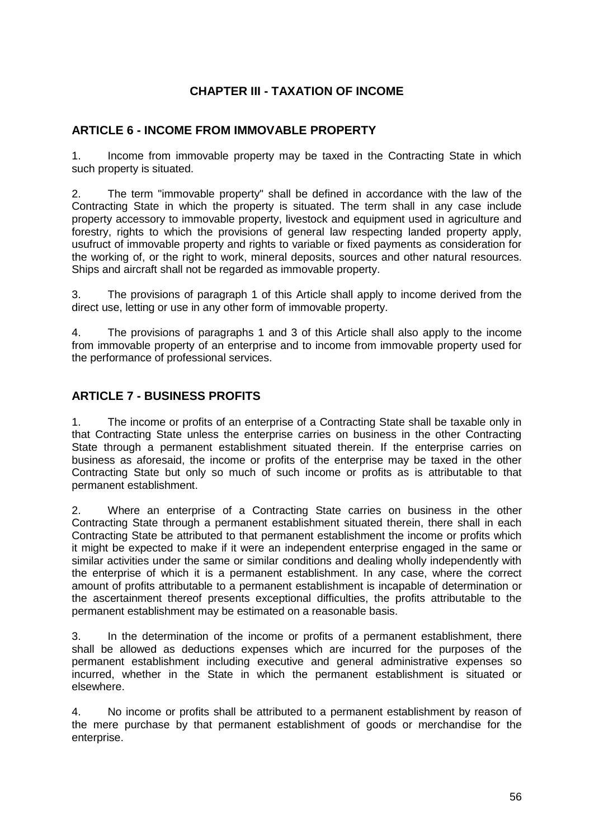# **CHAPTER III - TAXATION OF INCOME**

### **ARTICLE 6 - INCOME FROM IMMOVABLE PROPERTY**

1. Income from immovable property may be taxed in the Contracting State in which such property is situated.

2. The term "immovable property" shall be defined in accordance with the law of the Contracting State in which the property is situated. The term shall in any case include property accessory to immovable property, livestock and equipment used in agriculture and forestry, rights to which the provisions of general law respecting landed property apply, usufruct of immovable property and rights to variable or fixed payments as consideration for the working of, or the right to work, mineral deposits, sources and other natural resources. Ships and aircraft shall not be regarded as immovable property.

3. The provisions of paragraph 1 of this Article shall apply to income derived from the direct use, letting or use in any other form of immovable property.

4. The provisions of paragraphs 1 and 3 of this Article shall also apply to the income from immovable property of an enterprise and to income from immovable property used for the performance of professional services.

### **ARTICLE 7 - BUSINESS PROFITS**

1. The income or profits of an enterprise of a Contracting State shall be taxable only in that Contracting State unless the enterprise carries on business in the other Contracting State through a permanent establishment situated therein. If the enterprise carries on business as aforesaid, the income or profits of the enterprise may be taxed in the other Contracting State but only so much of such income or profits as is attributable to that permanent establishment.

2. Where an enterprise of a Contracting State carries on business in the other Contracting State through a permanent establishment situated therein, there shall in each Contracting State be attributed to that permanent establishment the income or profits which it might be expected to make if it were an independent enterprise engaged in the same or similar activities under the same or similar conditions and dealing wholly independently with the enterprise of which it is a permanent establishment. In any case, where the correct amount of profits attributable to a permanent establishment is incapable of determination or the ascertainment thereof presents exceptional difficulties, the profits attributable to the permanent establishment may be estimated on a reasonable basis.

3. In the determination of the income or profits of a permanent establishment, there shall be allowed as deductions expenses which are incurred for the purposes of the permanent establishment including executive and general administrative expenses so incurred, whether in the State in which the permanent establishment is situated or elsewhere.

4. No income or profits shall be attributed to a permanent establishment by reason of the mere purchase by that permanent establishment of goods or merchandise for the enterprise.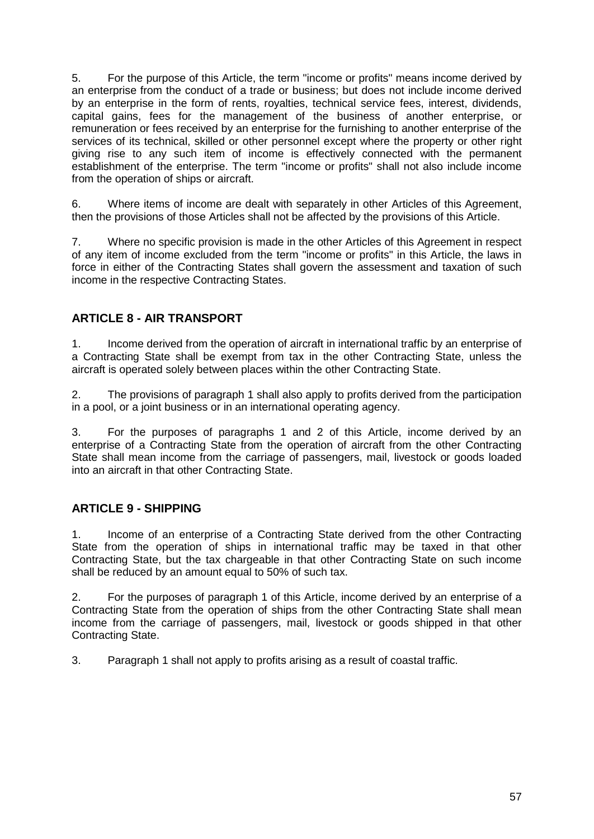5. For the purpose of this Article, the term "income or profits" means income derived by an enterprise from the conduct of a trade or business; but does not include income derived by an enterprise in the form of rents, rovalties, technical service fees, interest, dividends. capital gains, fees for the management of the business of another enterprise, or remuneration or fees received by an enterprise for the furnishing to another enterprise of the services of its technical, skilled or other personnel except where the property or other right giving rise to any such item of income is effectively connected with the permanent establishment of the enterprise. The term "income or profits" shall not also include income from the operation of ships or aircraft.

6. Where items of income are dealt with separately in other Articles of this Agreement, then the provisions of those Articles shall not be affected by the provisions of this Article.

7. Where no specific provision is made in the other Articles of this Agreement in respect of any item of income excluded from the term "income or profits" in this Article, the laws in force in either of the Contracting States shall govern the assessment and taxation of such income in the respective Contracting States.

# **ARTICLE 8 - AIR TRANSPORT**

1. Income derived from the operation of aircraft in international traffic by an enterprise of a Contracting State shall be exempt from tax in the other Contracting State, unless the aircraft is operated solely between places within the other Contracting State.

2. The provisions of paragraph 1 shall also apply to profits derived from the participation in a pool, or a joint business or in an international operating agency.

3. For the purposes of paragraphs 1 and 2 of this Article, income derived by an enterprise of a Contracting State from the operation of aircraft from the other Contracting State shall mean income from the carriage of passengers, mail, livestock or goods loaded into an aircraft in that other Contracting State.

# **ARTICLE 9 - SHIPPING**

1. Income of an enterprise of a Contracting State derived from the other Contracting State from the operation of ships in international traffic may be taxed in that other Contracting State, but the tax chargeable in that other Contracting State on such income shall be reduced by an amount equal to 50% of such tax.

2. For the purposes of paragraph 1 of this Article, income derived by an enterprise of a Contracting State from the operation of ships from the other Contracting State shall mean income from the carriage of passengers, mail, livestock or goods shipped in that other Contracting State.

3. Paragraph 1 shall not apply to profits arising as a result of coastal traffic.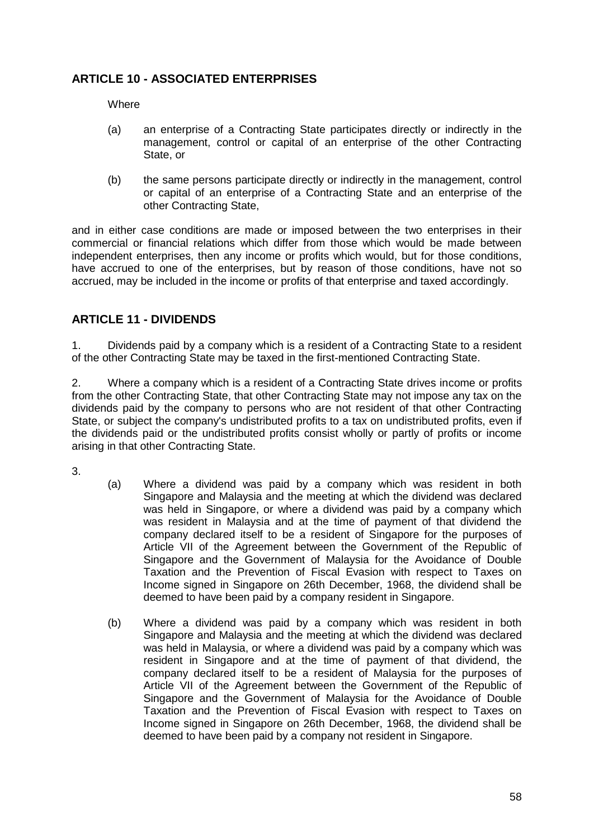# **ARTICLE 10 - ASSOCIATED ENTERPRISES**

**Where** 

- (a) an enterprise of a Contracting State participates directly or indirectly in the management, control or capital of an enterprise of the other Contracting State, or
- (b) the same persons participate directly or indirectly in the management, control or capital of an enterprise of a Contracting State and an enterprise of the other Contracting State,

and in either case conditions are made or imposed between the two enterprises in their commercial or financial relations which differ from those which would be made between independent enterprises, then any income or profits which would, but for those conditions, have accrued to one of the enterprises, but by reason of those conditions, have not so accrued, may be included in the income or profits of that enterprise and taxed accordingly.

## **ARTICLE 11 - DIVIDENDS**

1. Dividends paid by a company which is a resident of a Contracting State to a resident of the other Contracting State may be taxed in the first-mentioned Contracting State.

2. Where a company which is a resident of a Contracting State drives income or profits from the other Contracting State, that other Contracting State may not impose any tax on the dividends paid by the company to persons who are not resident of that other Contracting State, or subject the company's undistributed profits to a tax on undistributed profits, even if the dividends paid or the undistributed profits consist wholly or partly of profits or income arising in that other Contracting State.

3.

- (a) Where a dividend was paid by a company which was resident in both Singapore and Malaysia and the meeting at which the dividend was declared was held in Singapore, or where a dividend was paid by a company which was resident in Malaysia and at the time of payment of that dividend the company declared itself to be a resident of Singapore for the purposes of Article VII of the Agreement between the Government of the Republic of Singapore and the Government of Malaysia for the Avoidance of Double Taxation and the Prevention of Fiscal Evasion with respect to Taxes on Income signed in Singapore on 26th December, 1968, the dividend shall be deemed to have been paid by a company resident in Singapore.
- (b) Where a dividend was paid by a company which was resident in both Singapore and Malaysia and the meeting at which the dividend was declared was held in Malaysia, or where a dividend was paid by a company which was resident in Singapore and at the time of payment of that dividend, the company declared itself to be a resident of Malaysia for the purposes of Article VII of the Agreement between the Government of the Republic of Singapore and the Government of Malaysia for the Avoidance of Double Taxation and the Prevention of Fiscal Evasion with respect to Taxes on Income signed in Singapore on 26th December, 1968, the dividend shall be deemed to have been paid by a company not resident in Singapore.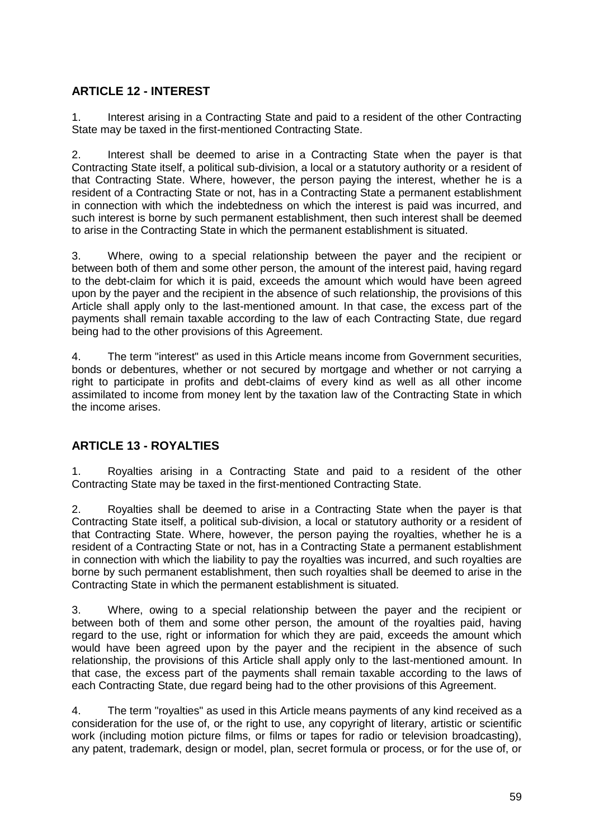# **ARTICLE 12 - INTEREST**

1. Interest arising in a Contracting State and paid to a resident of the other Contracting State may be taxed in the first-mentioned Contracting State.

2. Interest shall be deemed to arise in a Contracting State when the payer is that Contracting State itself, a political sub-division, a local or a statutory authority or a resident of that Contracting State. Where, however, the person paying the interest, whether he is a resident of a Contracting State or not, has in a Contracting State a permanent establishment in connection with which the indebtedness on which the interest is paid was incurred, and such interest is borne by such permanent establishment, then such interest shall be deemed to arise in the Contracting State in which the permanent establishment is situated.

3. Where, owing to a special relationship between the payer and the recipient or between both of them and some other person, the amount of the interest paid, having regard to the debt-claim for which it is paid, exceeds the amount which would have been agreed upon by the payer and the recipient in the absence of such relationship, the provisions of this Article shall apply only to the last-mentioned amount. In that case, the excess part of the payments shall remain taxable according to the law of each Contracting State, due regard being had to the other provisions of this Agreement.

4. The term "interest" as used in this Article means income from Government securities, bonds or debentures, whether or not secured by mortgage and whether or not carrying a right to participate in profits and debt-claims of every kind as well as all other income assimilated to income from money lent by the taxation law of the Contracting State in which the income arises.

# **ARTICLE 13 - ROYALTIES**

1. Royalties arising in a Contracting State and paid to a resident of the other Contracting State may be taxed in the first-mentioned Contracting State.

2. Royalties shall be deemed to arise in a Contracting State when the payer is that Contracting State itself, a political sub-division, a local or statutory authority or a resident of that Contracting State. Where, however, the person paying the royalties, whether he is a resident of a Contracting State or not, has in a Contracting State a permanent establishment in connection with which the liability to pay the royalties was incurred, and such royalties are borne by such permanent establishment, then such royalties shall be deemed to arise in the Contracting State in which the permanent establishment is situated.

3. Where, owing to a special relationship between the payer and the recipient or between both of them and some other person, the amount of the royalties paid, having regard to the use, right or information for which they are paid, exceeds the amount which would have been agreed upon by the payer and the recipient in the absence of such relationship, the provisions of this Article shall apply only to the last-mentioned amount. In that case, the excess part of the payments shall remain taxable according to the laws of each Contracting State, due regard being had to the other provisions of this Agreement.

4. The term "royalties" as used in this Article means payments of any kind received as a consideration for the use of, or the right to use, any copyright of literary, artistic or scientific work (including motion picture films, or films or tapes for radio or television broadcasting), any patent, trademark, design or model, plan, secret formula or process, or for the use of, or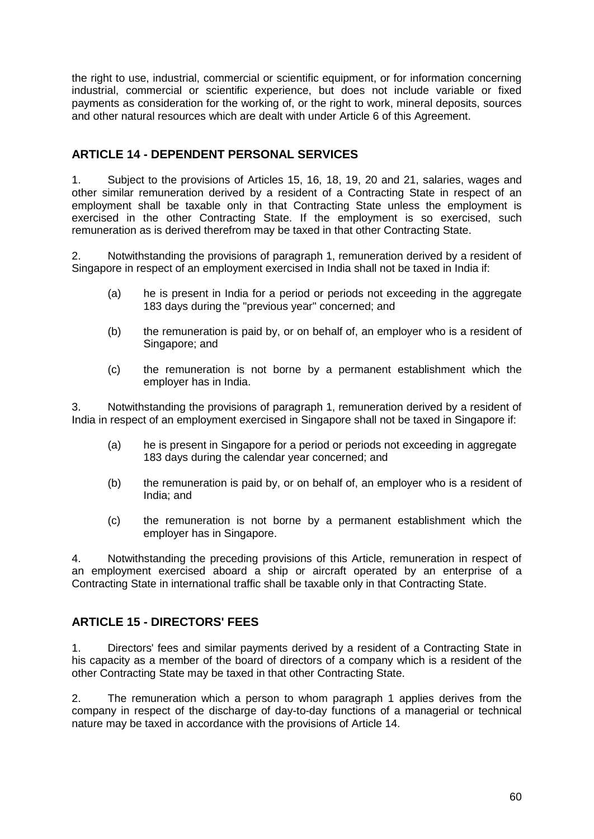the right to use, industrial, commercial or scientific equipment, or for information concerning industrial, commercial or scientific experience, but does not include variable or fixed payments as consideration for the working of, or the right to work, mineral deposits, sources and other natural resources which are dealt with under Article 6 of this Agreement.

## **ARTICLE 14 - DEPENDENT PERSONAL SERVICES**

1. Subject to the provisions of Articles 15, 16, 18, 19, 20 and 21, salaries, wages and other similar remuneration derived by a resident of a Contracting State in respect of an employment shall be taxable only in that Contracting State unless the employment is exercised in the other Contracting State. If the employment is so exercised, such remuneration as is derived therefrom may be taxed in that other Contracting State.

2. Notwithstanding the provisions of paragraph 1, remuneration derived by a resident of Singapore in respect of an employment exercised in India shall not be taxed in India if:

- (a) he is present in India for a period or periods not exceeding in the aggregate 183 days during the "previous year" concerned; and
- (b) the remuneration is paid by, or on behalf of, an employer who is a resident of Singapore; and
- (c) the remuneration is not borne by a permanent establishment which the employer has in India.

3. Notwithstanding the provisions of paragraph 1, remuneration derived by a resident of India in respect of an employment exercised in Singapore shall not be taxed in Singapore if:

- (a) he is present in Singapore for a period or periods not exceeding in aggregate 183 days during the calendar year concerned; and
- (b) the remuneration is paid by, or on behalf of, an employer who is a resident of India; and
- (c) the remuneration is not borne by a permanent establishment which the employer has in Singapore.

4. Notwithstanding the preceding provisions of this Article, remuneration in respect of an employment exercised aboard a ship or aircraft operated by an enterprise of a Contracting State in international traffic shall be taxable only in that Contracting State.

### **ARTICLE 15 - DIRECTORS' FEES**

1. Directors' fees and similar payments derived by a resident of a Contracting State in his capacity as a member of the board of directors of a company which is a resident of the other Contracting State may be taxed in that other Contracting State.

2. The remuneration which a person to whom paragraph 1 applies derives from the company in respect of the discharge of day-to-day functions of a managerial or technical nature may be taxed in accordance with the provisions of Article 14.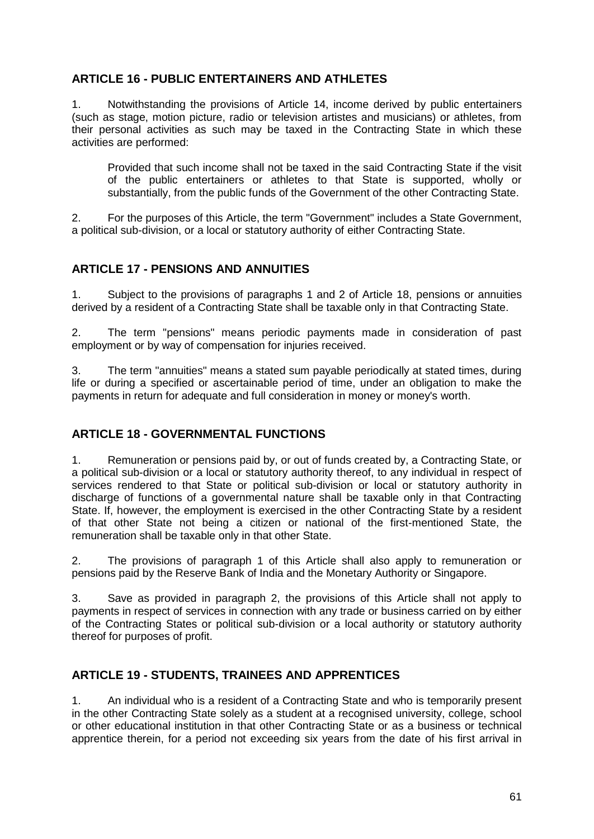## **ARTICLE 16 - PUBLIC ENTERTAINERS AND ATHLETES**

1. Notwithstanding the provisions of Article 14, income derived by public entertainers (such as stage, motion picture, radio or television artistes and musicians) or athletes, from their personal activities as such may be taxed in the Contracting State in which these activities are performed:

Provided that such income shall not be taxed in the said Contracting State if the visit of the public entertainers or athletes to that State is supported, wholly or substantially, from the public funds of the Government of the other Contracting State.

2. For the purposes of this Article, the term "Government" includes a State Government, a political sub-division, or a local or statutory authority of either Contracting State.

### **ARTICLE 17 - PENSIONS AND ANNUITIES**

1. Subject to the provisions of paragraphs 1 and 2 of Article 18, pensions or annuities derived by a resident of a Contracting State shall be taxable only in that Contracting State.

2. The term "pensions" means periodic payments made in consideration of past employment or by way of compensation for injuries received.

3. The term "annuities" means a stated sum payable periodically at stated times, during life or during a specified or ascertainable period of time, under an obligation to make the payments in return for adequate and full consideration in money or money's worth.

# **ARTICLE 18 - GOVERNMENTAL FUNCTIONS**

1. Remuneration or pensions paid by, or out of funds created by, a Contracting State, or a political sub-division or a local or statutory authority thereof, to any individual in respect of services rendered to that State or political sub-division or local or statutory authority in discharge of functions of a governmental nature shall be taxable only in that Contracting State. If, however, the employment is exercised in the other Contracting State by a resident of that other State not being a citizen or national of the first-mentioned State, the remuneration shall be taxable only in that other State.

2. The provisions of paragraph 1 of this Article shall also apply to remuneration or pensions paid by the Reserve Bank of India and the Monetary Authority or Singapore.

3. Save as provided in paragraph 2, the provisions of this Article shall not apply to payments in respect of services in connection with any trade or business carried on by either of the Contracting States or political sub-division or a local authority or statutory authority thereof for purposes of profit.

### **ARTICLE 19 - STUDENTS, TRAINEES AND APPRENTICES**

1. An individual who is a resident of a Contracting State and who is temporarily present in the other Contracting State solely as a student at a recognised university, college, school or other educational institution in that other Contracting State or as a business or technical apprentice therein, for a period not exceeding six years from the date of his first arrival in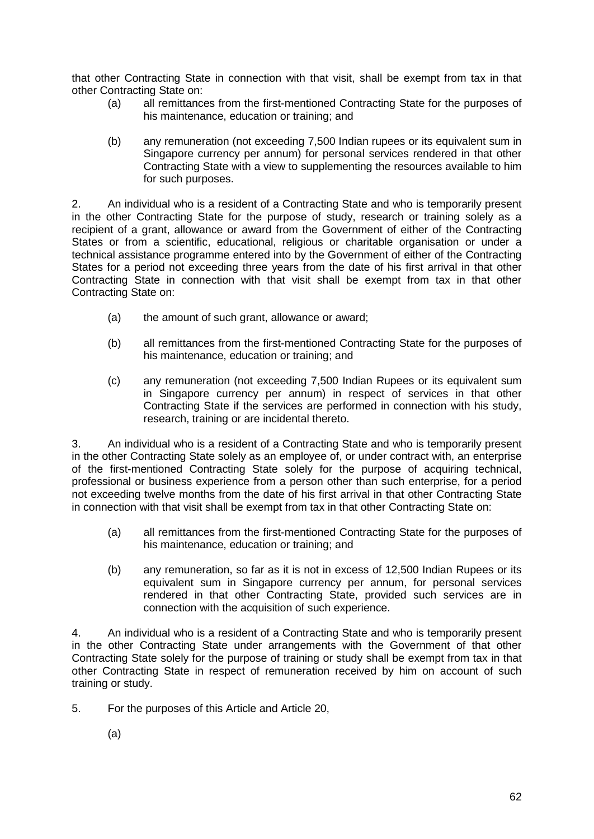that other Contracting State in connection with that visit, shall be exempt from tax in that other Contracting State on:

- (a) all remittances from the first-mentioned Contracting State for the purposes of his maintenance, education or training; and
- (b) any remuneration (not exceeding 7,500 Indian rupees or its equivalent sum in Singapore currency per annum) for personal services rendered in that other Contracting State with a view to supplementing the resources available to him for such purposes.

2. An individual who is a resident of a Contracting State and who is temporarily present in the other Contracting State for the purpose of study, research or training solely as a recipient of a grant, allowance or award from the Government of either of the Contracting States or from a scientific, educational, religious or charitable organisation or under a technical assistance programme entered into by the Government of either of the Contracting States for a period not exceeding three years from the date of his first arrival in that other Contracting State in connection with that visit shall be exempt from tax in that other Contracting State on:

- (a) the amount of such grant, allowance or award;
- (b) all remittances from the first-mentioned Contracting State for the purposes of his maintenance, education or training; and
- (c) any remuneration (not exceeding 7,500 Indian Rupees or its equivalent sum in Singapore currency per annum) in respect of services in that other Contracting State if the services are performed in connection with his study, research, training or are incidental thereto.

3. An individual who is a resident of a Contracting State and who is temporarily present in the other Contracting State solely as an employee of, or under contract with, an enterprise of the first-mentioned Contracting State solely for the purpose of acquiring technical, professional or business experience from a person other than such enterprise, for a period not exceeding twelve months from the date of his first arrival in that other Contracting State in connection with that visit shall be exempt from tax in that other Contracting State on:

- (a) all remittances from the first-mentioned Contracting State for the purposes of his maintenance, education or training; and
- (b) any remuneration, so far as it is not in excess of 12,500 Indian Rupees or its equivalent sum in Singapore currency per annum, for personal services rendered in that other Contracting State, provided such services are in connection with the acquisition of such experience.

4. An individual who is a resident of a Contracting State and who is temporarily present in the other Contracting State under arrangements with the Government of that other Contracting State solely for the purpose of training or study shall be exempt from tax in that other Contracting State in respect of remuneration received by him on account of such training or study.

5. For the purposes of this Article and Article 20,

(a)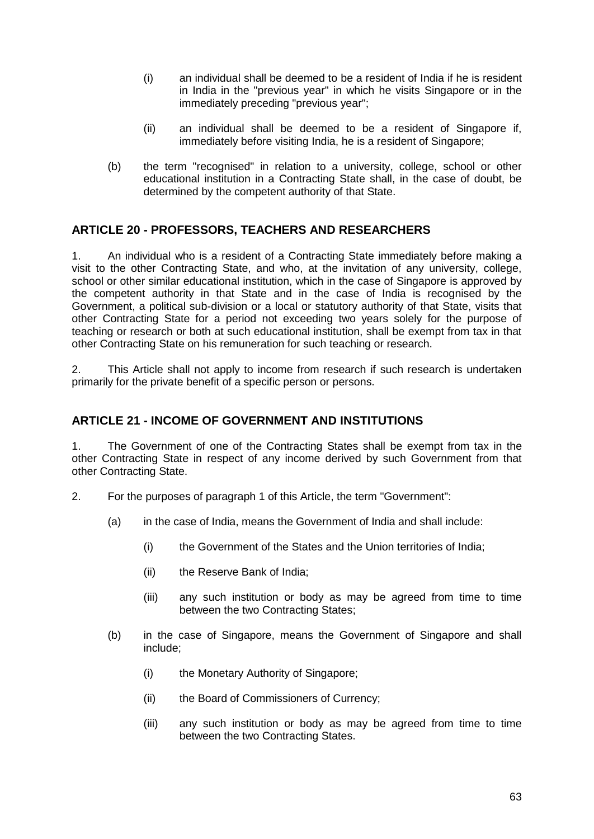- (i) an individual shall be deemed to be a resident of India if he is resident in India in the "previous year" in which he visits Singapore or in the immediately preceding "previous year";
- (ii) an individual shall be deemed to be a resident of Singapore if, immediately before visiting India, he is a resident of Singapore;
- (b) the term "recognised" in relation to a university, college, school or other educational institution in a Contracting State shall, in the case of doubt, be determined by the competent authority of that State.

## **ARTICLE 20 - PROFESSORS, TEACHERS AND RESEARCHERS**

1. An individual who is a resident of a Contracting State immediately before making a visit to the other Contracting State, and who, at the invitation of any university, college, school or other similar educational institution, which in the case of Singapore is approved by the competent authority in that State and in the case of India is recognised by the Government, a political sub-division or a local or statutory authority of that State, visits that other Contracting State for a period not exceeding two years solely for the purpose of teaching or research or both at such educational institution, shall be exempt from tax in that other Contracting State on his remuneration for such teaching or research.

2. This Article shall not apply to income from research if such research is undertaken primarily for the private benefit of a specific person or persons.

### **ARTICLE 21 - INCOME OF GOVERNMENT AND INSTITUTIONS**

1. The Government of one of the Contracting States shall be exempt from tax in the other Contracting State in respect of any income derived by such Government from that other Contracting State.

- 2. For the purposes of paragraph 1 of this Article, the term "Government":
	- (a) in the case of India, means the Government of India and shall include:
		- (i) the Government of the States and the Union territories of India;
		- (ii) the Reserve Bank of India;
		- (iii) any such institution or body as may be agreed from time to time between the two Contracting States;
	- (b) in the case of Singapore, means the Government of Singapore and shall include;
		- (i) the Monetary Authority of Singapore;
		- (ii) the Board of Commissioners of Currency;
		- (iii) any such institution or body as may be agreed from time to time between the two Contracting States.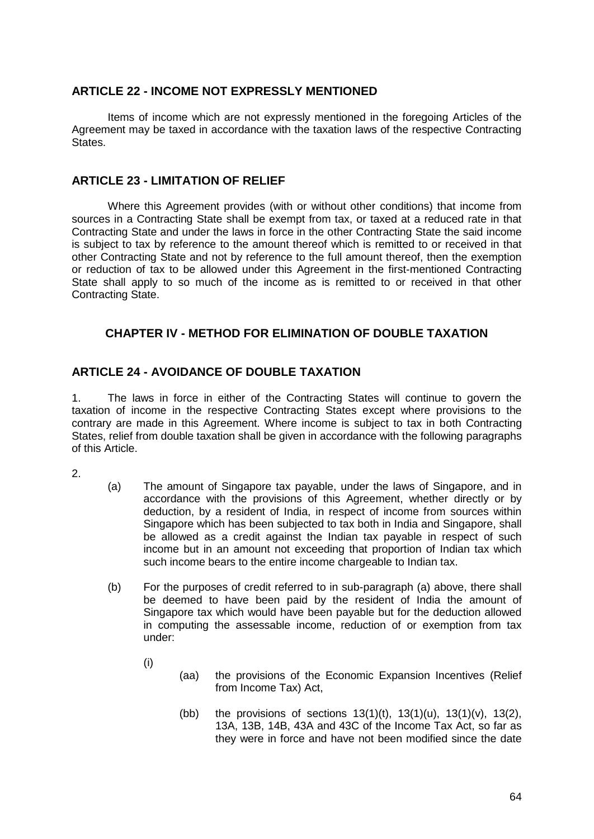#### **ARTICLE 22 - INCOME NOT EXPRESSLY MENTIONED**

Items of income which are not expressly mentioned in the foregoing Articles of the Agreement may be taxed in accordance with the taxation laws of the respective Contracting States.

#### **ARTICLE 23 - LIMITATION OF RELIEF**

Where this Agreement provides (with or without other conditions) that income from sources in a Contracting State shall be exempt from tax, or taxed at a reduced rate in that Contracting State and under the laws in force in the other Contracting State the said income is subject to tax by reference to the amount thereof which is remitted to or received in that other Contracting State and not by reference to the full amount thereof, then the exemption or reduction of tax to be allowed under this Agreement in the first-mentioned Contracting State shall apply to so much of the income as is remitted to or received in that other Contracting State.

#### **CHAPTER IV - METHOD FOR ELIMINATION OF DOUBLE TAXATION**

#### **ARTICLE 24 - AVOIDANCE OF DOUBLE TAXATION**

1. The laws in force in either of the Contracting States will continue to govern the taxation of income in the respective Contracting States except where provisions to the contrary are made in this Agreement. Where income is subject to tax in both Contracting States, relief from double taxation shall be given in accordance with the following paragraphs of this Article.

2.

- (a) The amount of Singapore tax payable, under the laws of Singapore, and in accordance with the provisions of this Agreement, whether directly or by deduction, by a resident of India, in respect of income from sources within Singapore which has been subjected to tax both in India and Singapore, shall be allowed as a credit against the Indian tax payable in respect of such income but in an amount not exceeding that proportion of Indian tax which such income bears to the entire income chargeable to Indian tax.
- (b) For the purposes of credit referred to in sub-paragraph (a) above, there shall be deemed to have been paid by the resident of India the amount of Singapore tax which would have been payable but for the deduction allowed in computing the assessable income, reduction of or exemption from tax under:
	- (i)
- (aa) the provisions of the Economic Expansion Incentives (Relief from Income Tax) Act,
- (bb) the provisions of sections  $13(1)(t)$ ,  $13(1)(u)$ ,  $13(1)(v)$ ,  $13(2)$ , 13A, 13B, 14B, 43A and 43C of the Income Tax Act, so far as they were in force and have not been modified since the date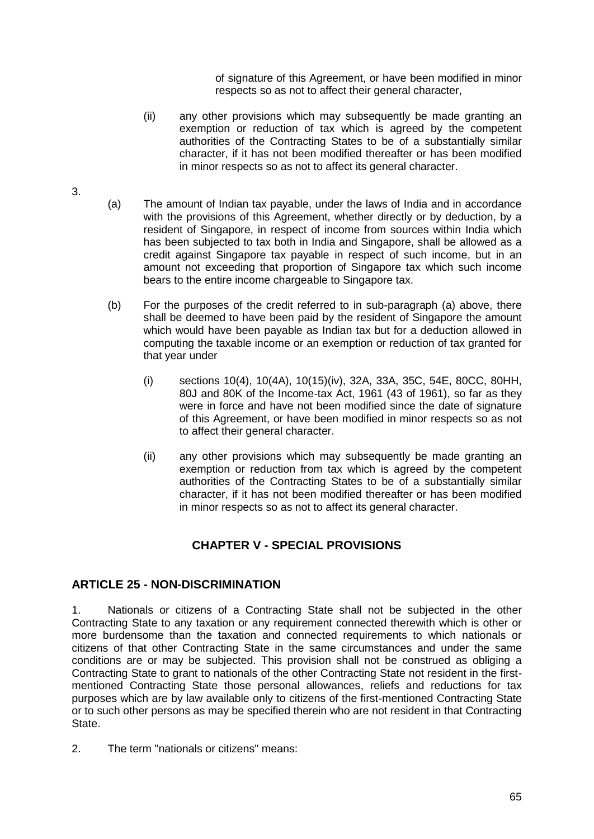of signature of this Agreement, or have been modified in minor respects so as not to affect their general character,

- (ii) any other provisions which may subsequently be made granting an exemption or reduction of tax which is agreed by the competent authorities of the Contracting States to be of a substantially similar character, if it has not been modified thereafter or has been modified in minor respects so as not to affect its general character.
- (a) The amount of Indian tax payable, under the laws of India and in accordance with the provisions of this Agreement, whether directly or by deduction, by a resident of Singapore, in respect of income from sources within India which has been subjected to tax both in India and Singapore, shall be allowed as a credit against Singapore tax payable in respect of such income, but in an amount not exceeding that proportion of Singapore tax which such income bears to the entire income chargeable to Singapore tax.
- (b) For the purposes of the credit referred to in sub-paragraph (a) above, there shall be deemed to have been paid by the resident of Singapore the amount which would have been payable as Indian tax but for a deduction allowed in computing the taxable income or an exemption or reduction of tax granted for that year under
	- (i) sections 10(4), 10(4A), 10(15)(iv), 32A, 33A, 35C, 54E, 80CC, 80HH, 80J and 80K of the Income-tax Act, 1961 (43 of 1961), so far as they were in force and have not been modified since the date of signature of this Agreement, or have been modified in minor respects so as not to affect their general character.
	- (ii) any other provisions which may subsequently be made granting an exemption or reduction from tax which is agreed by the competent authorities of the Contracting States to be of a substantially similar character, if it has not been modified thereafter or has been modified in minor respects so as not to affect its general character.

# **CHAPTER V - SPECIAL PROVISIONS**

### **ARTICLE 25 - NON-DISCRIMINATION**

3.

1. Nationals or citizens of a Contracting State shall not be subjected in the other Contracting State to any taxation or any requirement connected therewith which is other or more burdensome than the taxation and connected requirements to which nationals or citizens of that other Contracting State in the same circumstances and under the same conditions are or may be subjected. This provision shall not be construed as obliging a Contracting State to grant to nationals of the other Contracting State not resident in the firstmentioned Contracting State those personal allowances, reliefs and reductions for tax purposes which are by law available only to citizens of the first-mentioned Contracting State or to such other persons as may be specified therein who are not resident in that Contracting State.

2. The term "nationals or citizens" means: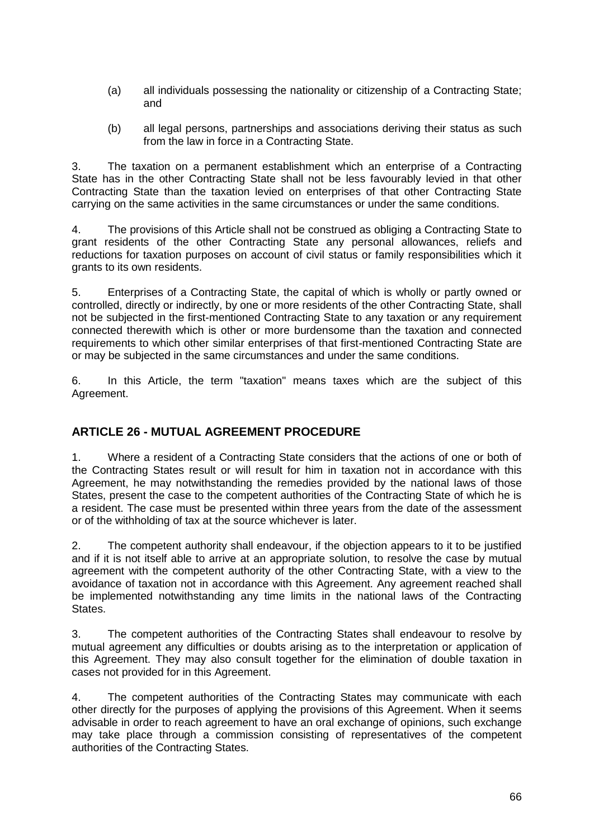- (a) all individuals possessing the nationality or citizenship of a Contracting State; and
- (b) all legal persons, partnerships and associations deriving their status as such from the law in force in a Contracting State.

3. The taxation on a permanent establishment which an enterprise of a Contracting State has in the other Contracting State shall not be less favourably levied in that other Contracting State than the taxation levied on enterprises of that other Contracting State carrying on the same activities in the same circumstances or under the same conditions.

4. The provisions of this Article shall not be construed as obliging a Contracting State to grant residents of the other Contracting State any personal allowances, reliefs and reductions for taxation purposes on account of civil status or family responsibilities which it grants to its own residents.

5. Enterprises of a Contracting State, the capital of which is wholly or partly owned or controlled, directly or indirectly, by one or more residents of the other Contracting State, shall not be subjected in the first-mentioned Contracting State to any taxation or any requirement connected therewith which is other or more burdensome than the taxation and connected requirements to which other similar enterprises of that first-mentioned Contracting State are or may be subjected in the same circumstances and under the same conditions.

6. In this Article, the term "taxation" means taxes which are the subject of this Agreement.

# **ARTICLE 26 - MUTUAL AGREEMENT PROCEDURE**

1. Where a resident of a Contracting State considers that the actions of one or both of the Contracting States result or will result for him in taxation not in accordance with this Agreement, he may notwithstanding the remedies provided by the national laws of those States, present the case to the competent authorities of the Contracting State of which he is a resident. The case must be presented within three years from the date of the assessment or of the withholding of tax at the source whichever is later.

2. The competent authority shall endeavour, if the objection appears to it to be justified and if it is not itself able to arrive at an appropriate solution, to resolve the case by mutual agreement with the competent authority of the other Contracting State, with a view to the avoidance of taxation not in accordance with this Agreement. Any agreement reached shall be implemented notwithstanding any time limits in the national laws of the Contracting States.

3. The competent authorities of the Contracting States shall endeavour to resolve by mutual agreement any difficulties or doubts arising as to the interpretation or application of this Agreement. They may also consult together for the elimination of double taxation in cases not provided for in this Agreement.

4. The competent authorities of the Contracting States may communicate with each other directly for the purposes of applying the provisions of this Agreement. When it seems advisable in order to reach agreement to have an oral exchange of opinions, such exchange may take place through a commission consisting of representatives of the competent authorities of the Contracting States.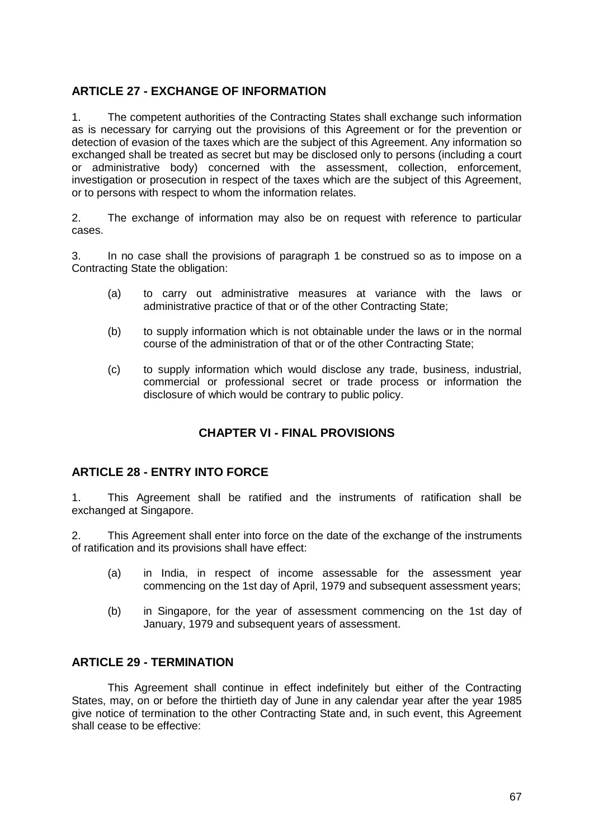# **ARTICLE 27 - EXCHANGE OF INFORMATION**

1. The competent authorities of the Contracting States shall exchange such information as is necessary for carrying out the provisions of this Agreement or for the prevention or detection of evasion of the taxes which are the subject of this Agreement. Any information so exchanged shall be treated as secret but may be disclosed only to persons (including a court or administrative body) concerned with the assessment, collection, enforcement, investigation or prosecution in respect of the taxes which are the subject of this Agreement, or to persons with respect to whom the information relates.

2. The exchange of information may also be on request with reference to particular cases.

3. In no case shall the provisions of paragraph 1 be construed so as to impose on a Contracting State the obligation:

- (a) to carry out administrative measures at variance with the laws or administrative practice of that or of the other Contracting State;
- (b) to supply information which is not obtainable under the laws or in the normal course of the administration of that or of the other Contracting State;
- (c) to supply information which would disclose any trade, business, industrial, commercial or professional secret or trade process or information the disclosure of which would be contrary to public policy.

# **CHAPTER VI - FINAL PROVISIONS**

### **ARTICLE 28 - ENTRY INTO FORCE**

1. This Agreement shall be ratified and the instruments of ratification shall be exchanged at Singapore.

2. This Agreement shall enter into force on the date of the exchange of the instruments of ratification and its provisions shall have effect:

- (a) in India, in respect of income assessable for the assessment year commencing on the 1st day of April, 1979 and subsequent assessment years;
- (b) in Singapore, for the year of assessment commencing on the 1st day of January, 1979 and subsequent years of assessment.

#### **ARTICLE 29 - TERMINATION**

This Agreement shall continue in effect indefinitely but either of the Contracting States, may, on or before the thirtieth day of June in any calendar year after the year 1985 give notice of termination to the other Contracting State and, in such event, this Agreement shall cease to be effective: